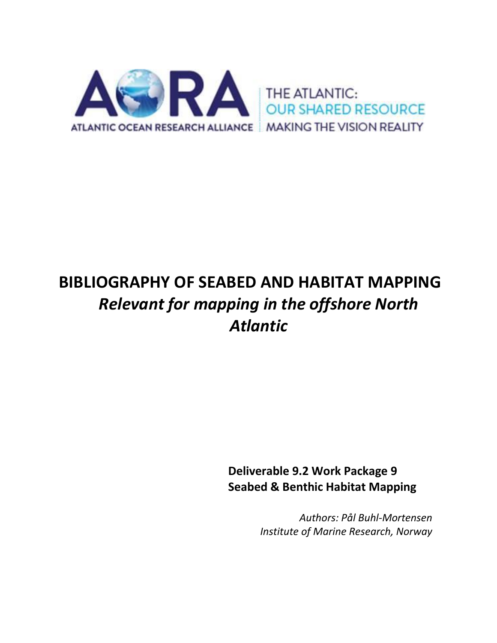

# **BIBLIOGRAPHY OF SEABED AND HABITAT MAPPING** *Relevant for mapping in the offshore North Atlantic*

**Deliverable 9.2 Work Package 9 Seabed & Benthic Habitat Mapping**

> *Authors: Pål Buhl-Mortensen Institute of Marine Research, Norway*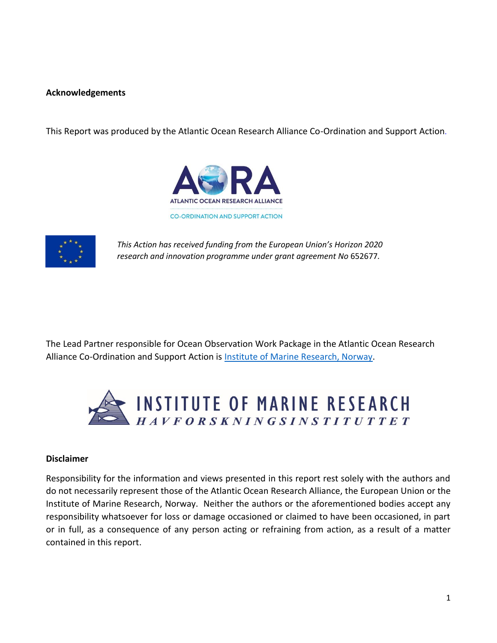# **Acknowledgements**

This Report was produced by the Atlantic Ocean Research Alliance Co-Ordination and Support Action.





*This Action has received funding from the European Union's Horizon 2020 research and innovation programme under grant agreement No* 652677*.*

The Lead Partner responsible for Ocean Observation Work Package in the Atlantic Ocean Research Alliance Co-Ordination and Support Action is [Institute of Marine Research, Norway.](http://www.imr.no/en)



## **Disclaimer**

Responsibility for the information and views presented in this report rest solely with the authors and do not necessarily represent those of the Atlantic Ocean Research Alliance, the European Union or the Institute of Marine Research, Norway. Neither the authors or the aforementioned bodies accept any responsibility whatsoever for loss or damage occasioned or claimed to have been occasioned, in part or in full, as a consequence of any person acting or refraining from action, as a result of a matter contained in this report.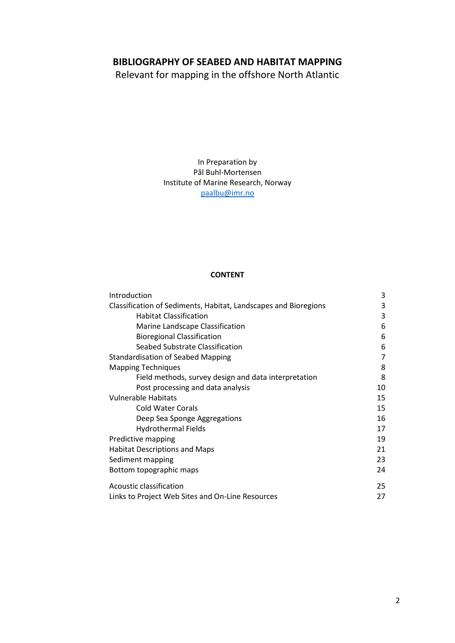# **BIBLIOGRAPHY OF SEABED AND HABITAT MAPPING**

Relevant for mapping in the offshore North Atlantic

In Preparation by Pål Buhl-Mortensen Institute of Marine Research, Norway [paalbu@imr.no](mailto:paalbu@imr.no)

## **CONTENT**

| Introduction                                                    | 3  |
|-----------------------------------------------------------------|----|
| Classification of Sediments, Habitat, Landscapes and Bioregions | 3  |
| <b>Habitat Classification</b>                                   | 3  |
| Marine Landscape Classification                                 | 6  |
| <b>Bioregional Classification</b>                               | 6  |
| Seabed Substrate Classification                                 | 6  |
| <b>Standardisation of Seabed Mapping</b>                        | 7  |
| <b>Mapping Techniques</b>                                       | 8  |
| Field methods, survey design and data interpretation            | 8  |
| Post processing and data analysis                               | 10 |
| <b>Vulnerable Habitats</b>                                      | 15 |
| Cold Water Corals                                               | 15 |
| Deep Sea Sponge Aggregations                                    | 16 |
| <b>Hydrothermal Fields</b>                                      | 17 |
| Predictive mapping                                              | 19 |
| <b>Habitat Descriptions and Maps</b>                            | 21 |
| Sediment mapping                                                | 23 |
| Bottom topographic maps                                         | 24 |
| Acoustic classification                                         | 25 |
| Links to Project Web Sites and On-Line Resources                | 27 |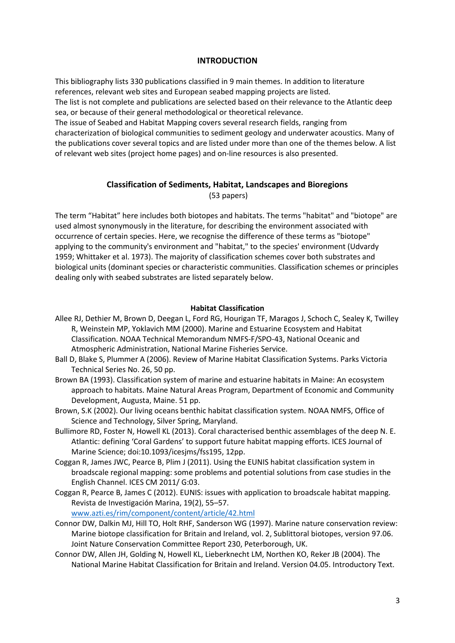## **INTRODUCTION**

This bibliography lists 330 publications classified in 9 main themes. In addition to literature references, relevant web sites and European seabed mapping projects are listed. The list is not complete and publications are selected based on their relevance to the Atlantic deep sea, or because of their general methodological or theoretical relevance.

The issue of Seabed and Habitat Mapping covers several research fields, ranging from characterization of biological communities to sediment geology and underwater acoustics. Many of the publications cover several topics and are listed under more than one of the themes below. A list of relevant web sites (project home pages) and on-line resources is also presented.

# **Classification of Sediments, Habitat, Landscapes and Bioregions**

(53 papers)

The term "Habitat" here includes both biotopes and habitats. The terms "habitat" and "biotope" are used almost synonymously in the literature, for describing the environment associated with occurrence of certain species. Here, we recognise the difference of these terms as "biotope" applying to the community's environment and "habitat," to the species' environment (Udvardy 1959; Whittaker et al. 1973). The majority of classification schemes cover both substrates and biological units (dominant species or characteristic communities. Classification schemes or principles dealing only with seabed substrates are listed separately below.

## **Habitat Classification**

- Allee RJ, Dethier M, Brown D, Deegan L, Ford RG, Hourigan TF, Maragos J, Schoch C, Sealey K, Twilley R, Weinstein MP, Yoklavich MM (2000). Marine and Estuarine Ecosystem and Habitat Classification. NOAA Technical Memorandum NMFS-F/SPO-43, National Oceanic and Atmospheric Administration, National Marine Fisheries Service.
- Ball D, Blake S, Plummer A (2006). Review of Marine Habitat Classification Systems. Parks Victoria Technical Series No. 26, 50 pp.
- Brown BA (1993). Classification system of marine and estuarine habitats in Maine: An ecosystem approach to habitats. Maine Natural Areas Program, Department of Economic and Community Development, Augusta, Maine. 51 pp.
- Brown, S.K (2002). Our living oceans benthic habitat classification system. NOAA NMFS, Office of Science and Technology, Silver Spring, Maryland.
- Bullimore RD, Foster N, Howell KL (2013). Coral characterised benthic assemblages of the deep N. E. Atlantic: defining 'Coral Gardens' to support future habitat mapping efforts. ICES Journal of Marine Science; doi:10.1093/icesjms/fss195, 12pp.
- Coggan R, James JWC, Pearce B, Plim J (2011). Using the EUNIS habitat classification system in broadscale regional mapping: some problems and potential solutions from case studies in the English Channel. ICES CM 2011/ G:03.
- Coggan R, Pearce B, James C (2012). EUNIS: issues with application to broadscale habitat mapping. Revista de Investigación Marina, 19(2), 55–57. [www.azti.es/rim/component/content/article/42.html](http://www.azti.es/rim/component/content/article/42.html)
- Connor DW, Dalkin MJ, Hill TO, Holt RHF, Sanderson WG (1997). Marine nature conservation review: Marine biotope classification for Britain and Ireland, vol. 2, Sublittoral biotopes, version 97.06. Joint Nature Conservation Committee Report 230, Peterborough, UK.
- Connor DW, Allen JH, Golding N, Howell KL, Lieberknecht LM, Northen KO, Reker JB (2004). The National Marine Habitat Classification for Britain and Ireland. Version 04.05. Introductory Text.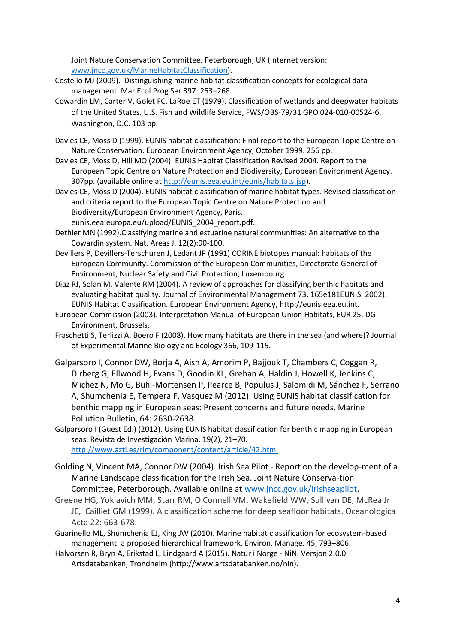Joint Nature Conservation Committee, Peterborough, UK (Internet version: [www.jncc.gov.uk/MarineHabitatClassification\)](http://www.jncc.gov.uk/MarineHabitatClassification).

- Costello MJ (2009). Distinguishing marine habitat classification concepts for ecological data management. Mar Ecol Prog Ser 397: 253–268.
- Cowardin LM, Carter V, Golet FC, LaRoe ET (1979). Classification of wetlands and deepwater habitats of the United States. U.S. Fish and Wildlife Service, FWS/OBS-79/31 GPO 024-010-00524-6, Washington, D.C. 103 pp.
- Davies CE, Moss D (1999). EUNIS habitat classification: Final report to the European Topic Centre on Nature Conservation. European Environment Agency, October 1999. 256 pp.
- Davies CE, Moss D, Hill MO (2004). EUNIS Habitat Classification Revised 2004. Report to the European Topic Centre on Nature Protection and Biodiversity, European Environment Agency. 307pp. (available online at [http://eunis.eea.eu.int/eunis/habitats.jsp\)](http://eunis.eea.eu.int/eunis/habitats.jsp).
- Davies CE, Moss D (2004). EUNIS habitat classification of marine habitat types. Revised classification and criteria report to the European Topic Centre on Nature Protection and Biodiversity/European Environment Agency, Paris. eunis.eea.europa.eu/upload/EUNIS\_2004\_report.pdf.
- Dethier MN (1992).Classifying marine and estuarine natural communities: An alternative to the Cowardin system. Nat. Areas J. 12(2):90-100.
- Devillers P, Devillers-Terschuren J, Ledant JP (1991) CORINE biotopes manual: habitats of the European Community. Commission of the European Communities, Directorate General of Environment, Nuclear Safety and Civil Protection, Luxembourg
- Diaz RJ, Solan M, Valente RM (2004). A review of approaches for classifying benthic habitats and evaluating habitat quality. Journal of Environmental Management 73, 165e181EUNIS. 2002). EUNIS Habitat Classification. European Environment Agency, http://eunis.eea.eu.int.
- European Commission (2003). Interpretation Manual of European Union Habitats, EUR 25. DG Environment, Brussels.
- Fraschetti S, Terlizzi A, Boero F (2008). How many habitats are there in the sea (and where)? Journal of Experimental Marine Biology and Ecology 366, 109-115.
- Galparsoro I, Connor DW, Borja A, Aish A, Amorim P, Bajjouk T, Chambers C, Coggan R, Dirberg G, Ellwood H, Evans D, Goodin KL, Grehan A, Haldin J, Howell K, Jenkins C, Michez N, Mo G, Buhl-Mortensen P, Pearce B, Populus J, Salomidi M, Sánchez F, Serrano A, Shumchenia E, Tempera F, Vasquez M (2012). Using EUNIS habitat classification for benthic mapping in European seas: Present concerns and future needs. Marine Pollution Bulletin, 64: 2630-2638.
- Galparsoro I (Guest Ed.) (2012). Using EUNIS habitat classification for benthic mapping in European seas. Revista de Investigación Marina, 19(2), 21–70. <http://www.azti.es/rim/component/content/article/42.html>
- Golding N, Vincent MA, Connor DW (2004). Irish Sea Pilot Report on the develop-ment of a Marine Landscape classification for the Irish Sea. Joint Nature Conserva-tion Committee, Peterborough. Available online at [www.jncc.gov.uk/irishseapilot.](http://www.jncc.gov.uk/irishseapilot)
- Greene HG, Yoklavich MM, Starr RM, O'Connell VM, Wakefield WW, Sullivan DE, McRea Jr JE, Cailliet GM (1999). A classification scheme for deep seafloor habitats. Oceanologica Acta 22: 663-678.
- Guarinello ML, Shumchenia EJ, King JW (2010). Marine habitat classification for ecosystem-based management: a proposed hierarchical framework. Environ. Manage. 45, 793–806.
- Halvorsen R, Bryn A, Erikstad L, Lindgaard A (2015). Natur i Norge NiN. Versjon 2.0.0. Artsdatabanken, Trondheim (http://www.artsdatabanken.no/nin).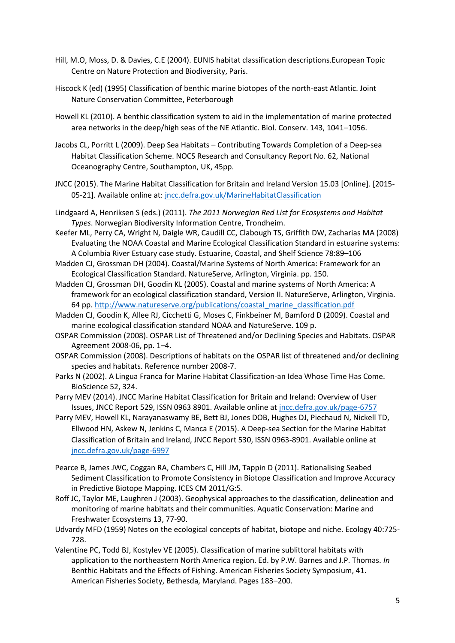- Hill, M.O, Moss, D. & Davies, C.E (2004). EUNIS habitat classification descriptions.European Topic Centre on Nature Protection and Biodiversity, Paris.
- Hiscock K (ed) (1995) Classification of benthic marine biotopes of the north-east Atlantic. Joint Nature Conservation Committee, Peterborough
- Howell KL (2010). A benthic classification system to aid in the implementation of marine protected area networks in the deep/high seas of the NE Atlantic. Biol. Conserv. 143, 1041–1056.
- Jacobs CL, Porritt L (2009). Deep Sea Habitats Contributing Towards Completion of a Deep-sea Habitat Classification Scheme. NOCS Research and Consultancy Report No. 62, National Oceanography Centre, Southampton, UK, 45pp.
- JNCC (2015). The Marine Habitat Classification for Britain and Ireland Version 15.03 [Online]. [2015- 05-21]. Available online at[: jncc.defra.gov.uk/MarineHabitatClassification](http://jncc.defra.gov.uk/MarineHabitatClassification/)
- Lindgaard A, Henriksen S (eds.) (2011). *The 2011 Norwegian Red List for Ecosystems and Habitat Types*. Norwegian Biodiversity Information Centre, Trondheim.
- Keefer ML, Perry CA, Wright N, Daigle WR, Caudill CC, Clabough TS, Griffith DW, Zacharias MA (2008) Evaluating the NOAA Coastal and Marine Ecological Classification Standard in estuarine systems: A Columbia River Estuary case study. Estuarine, Coastal, and Shelf Science 78:89–106
- Madden CJ, Grossman DH (2004). Coastal/Marine Systems of North America: Framework for an Ecological Classification Standard. NatureServe, Arlington, Virginia. pp. 150.
- Madden CJ, Grossman DH, Goodin KL (2005). Coastal and marine systems of North America: A framework for an ecological classification standard, Version II. NatureServe, Arlington, Virginia. 64 pp. [http://www.natureserve.org/publications/coastal\\_marine\\_classification.pdf](http://www.natureserve.org/publications/coastal_marine_classification.pdf)
- Madden CJ, Goodin K, Allee RJ, Cicchetti G, Moses C, Finkbeiner M, Bamford D (2009). Coastal and marine ecological classification standard NOAA and NatureServe. 109 p.
- OSPAR Commission (2008). OSPAR List of Threatened and/or Declining Species and Habitats. OSPAR Agreement 2008-06, pp. 1–4.
- OSPAR Commission (2008). Descriptions of habitats on the OSPAR list of threatened and/or declining species and habitats. Reference number 2008-7.
- Parks N (2002). A Lingua Franca for Marine Habitat Classification-an Idea Whose Time Has Come. BioScience 52, 324.
- Parry MEV (2014). JNCC Marine Habitat Classification for Britain and Ireland: Overview of User Issues, JNCC Report 529, ISSN 0963 8901. Available online at [jncc.defra.gov.uk/page-6757](http://jncc.defra.gov.uk/page-6757)
- Parry MEV, Howell KL, Narayanaswamy BE, Bett BJ, Jones DOB, Hughes DJ, Piechaud N, Nickell TD, Ellwood HN, Askew N, Jenkins C, Manca E (2015). A Deep-sea Section for the Marine Habitat Classification of Britain and Ireland, JNCC Report 530, ISSN 0963-8901. Available online at [jncc.defra.gov.uk/page-6997](http://jncc.defra.gov.uk/page-6997)
- Pearce B, James JWC, Coggan RA, Chambers C, Hill JM, Tappin D (2011). Rationalising Seabed Sediment Classification to Promote Consistency in Biotope Classification and Improve Accuracy in Predictive Biotope Mapping. ICES CM 2011/G:5.
- Roff JC, Taylor ME, Laughren J (2003). Geophysical approaches to the classification, delineation and monitoring of marine habitats and their communities. Aquatic Conservation: Marine and Freshwater Ecosystems 13, 77-90.
- Udvardy MFD (1959) Notes on the ecological concepts of habitat, biotope and niche. Ecology 40:725- 728.
- Valentine PC, Todd BJ, Kostylev VE (2005). Classification of marine sublittoral habitats with application to the northeastern North America region. Ed. by P.W. Barnes and J.P. Thomas. *In*  Benthic Habitats and the Effects of Fishing. American Fisheries Society Symposium, 41. American Fisheries Society, Bethesda, Maryland. Pages 183–200.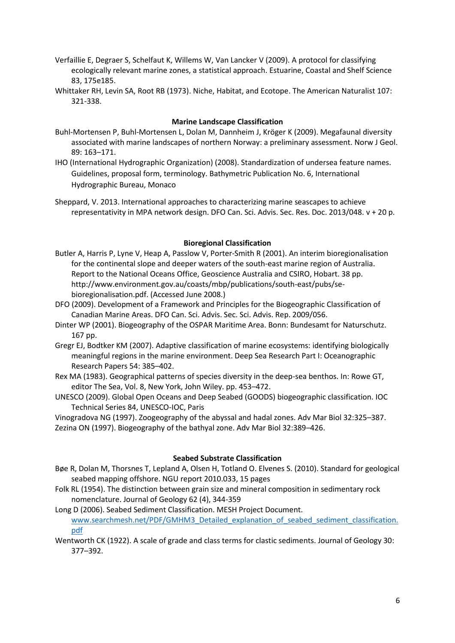- Verfaillie E, Degraer S, Schelfaut K, Willems W, Van Lancker V (2009). A protocol for classifying ecologically relevant marine zones, a statistical approach. Estuarine, Coastal and Shelf Science 83, 175e185.
- Whittaker RH, Levin SA, Root RB (1973). Niche, Habitat, and Ecotope. The American Naturalist 107: 321-338.

## **Marine Landscape Classification**

- Buhl-Mortensen P, Buhl-Mortensen L, Dolan M, Dannheim J, Kröger K (2009). Megafaunal diversity associated with marine landscapes of northern Norway: a preliminary assessment. Norw J Geol. 89: 163–171.
- IHO (International Hydrographic Organization) (2008). Standardization of undersea feature names. Guidelines, proposal form, terminology. Bathymetric Publication No. 6, International Hydrographic Bureau, Monaco
- Sheppard, V. 2013. International approaches to characterizing marine seascapes to achieve representativity in MPA network design. DFO Can. Sci. Advis. Sec. Res. Doc. 2013/048. v + 20 p.

## **Bioregional Classification**

- Butler A, Harris P, Lyne V, Heap A, Passlow V, Porter-Smith R (2001). An interim bioregionalisation for the continental slope and deeper waters of the south-east marine region of Australia. Report to the National Oceans Office, Geoscience Australia and CSIRO, Hobart. 38 pp. http://www.environment.gov.au/coasts/mbp/publications/south-east/pubs/sebioregionalisation.pdf. (Accessed June 2008.)
- DFO (2009). Development of a Framework and Principles for the Biogeographic Classification of Canadian Marine Areas. DFO Can. Sci. Advis. Sec. Sci. Advis. Rep. 2009/056.
- Dinter WP (2001). Biogeography of the OSPAR Maritime Area. Bonn: Bundesamt for Naturschutz. 167 pp.
- Gregr EJ, Bodtker KM (2007). Adaptive classification of marine ecosystems: identifying biologically meaningful regions in the marine environment. Deep Sea Research Part I: Oceanographic Research Papers 54: 385–402.
- Rex MA (1983). Geographical patterns of species diversity in the deep-sea benthos. In: Rowe GT, editor The Sea, Vol. 8, New York, John Wiley. pp. 453–472.
- UNESCO (2009). Global Open Oceans and Deep Seabed (GOODS) biogeographic classification. IOC Technical Series 84, UNESCO-IOC, Paris

Vinogradova NG (1997). Zoogeography of the abyssal and hadal zones. Adv Mar Biol 32:325–387. Zezina ON (1997). Biogeography of the bathyal zone. Adv Mar Biol 32:389–426.

## **Seabed Substrate Classification**

- Bøe R, Dolan M, Thorsnes T, Lepland A, Olsen H, Totland O. Elvenes S. (2010). Standard for geological seabed mapping offshore. NGU report 2010.033, 15 pages
- Folk RL (1954). The distinction between grain size and mineral composition in sedimentary rock nomenclature. Journal of Geology 62 (4), 344-359

Long D (2006). Seabed Sediment Classification. MESH Project Document. [www.searchmesh.net/PDF/GMHM3\\_Detailed\\_explanation\\_of\\_seabed\\_sediment\\_classification.](http://www.searchmesh.net/PDF/GMHM3_Detailed_explanation_of_seabed_sediment_classification.pdf) [pdf](http://www.searchmesh.net/PDF/GMHM3_Detailed_explanation_of_seabed_sediment_classification.pdf)

Wentworth CK (1922). A scale of grade and class terms for clastic sediments. Journal of Geology 30: 377–392.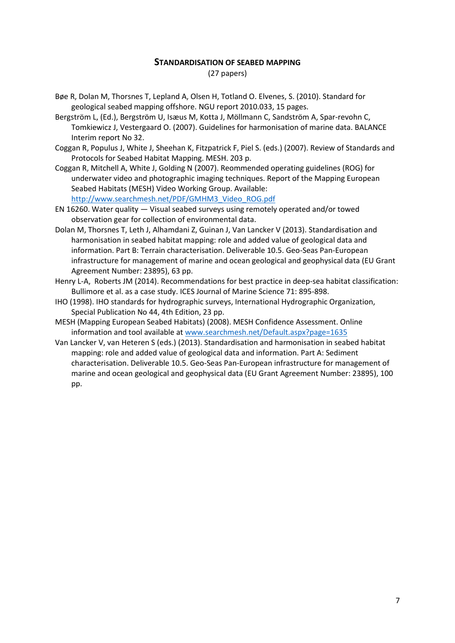## **STANDARDISATION OF SEABED MAPPING**

(27 papers)

- Bøe R, Dolan M, Thorsnes T, Lepland A, Olsen H, Totland O. Elvenes, S. (2010). Standard for geological seabed mapping offshore. NGU report 2010.033, 15 pages.
- Bergström L, (Ed.), Bergström U, Isæus M, Kotta J, Möllmann C, Sandström A, Spar‐revohn C, Tomkiewicz J, Vestergaard O. (2007). Guidelines for harmonisation of marine data. BALANCE Interim report No 32.
- Coggan R, Populus J, White J, Sheehan K, Fitzpatrick F, Piel S. (eds.) (2007). Review of Standards and Protocols for Seabed Habitat Mapping. MESH. 203 p.
- Coggan R, Mitchell A, White J, Golding N (2007). Reommended operating guidelines (ROG) for underwater video and photographic imaging techniques. Report of the Mapping European Seabed Habitats (MESH) Video Working Group. Available: [http://www.searchmesh.net/PDF/GMHM3\\_Video\\_ROG.pdf](http://www.searchmesh.net/PDF/GMHM3_Vide​o_ROG.pdf)
- EN 16260. Water quality ― Visual seabed surveys using remotely operated and/or towed observation gear for collection of environmental data.
- Dolan M, Thorsnes T, Leth J, Alhamdani Z, Guinan J, Van Lancker V (2013). Standardisation and harmonisation in seabed habitat mapping: role and added value of geological data and information. Part B: Terrain characterisation. Deliverable 10.5. Geo-Seas Pan-European infrastructure for management of marine and ocean geological and geophysical data (EU Grant Agreement Number: 23895), 63 pp.
- Henry L-A, Roberts JM (2014). Recommendations for best practice in deep-sea habitat classification: Bullimore et al. as a case study. ICES Journal of Marine Science 71: 895-898.
- IHO (1998). IHO standards for hydrographic surveys, International Hydrographic Organization, Special Publication No 44, 4th Edition, 23 pp.
- MESH (Mapping European Seabed Habitats) (2008). MESH Confidence Assessment. Online information and tool available at [www.searchmesh.net/Default.aspx?page=1635](http://www.searchmesh.net/Default.aspx?page=1635)
- Van Lancker V, van Heteren S (eds.) (2013). Standardisation and harmonisation in seabed habitat mapping: role and added value of geological data and information. Part A: Sediment characterisation. Deliverable 10.5. Geo-Seas Pan-European infrastructure for management of marine and ocean geological and geophysical data (EU Grant Agreement Number: 23895), 100 pp.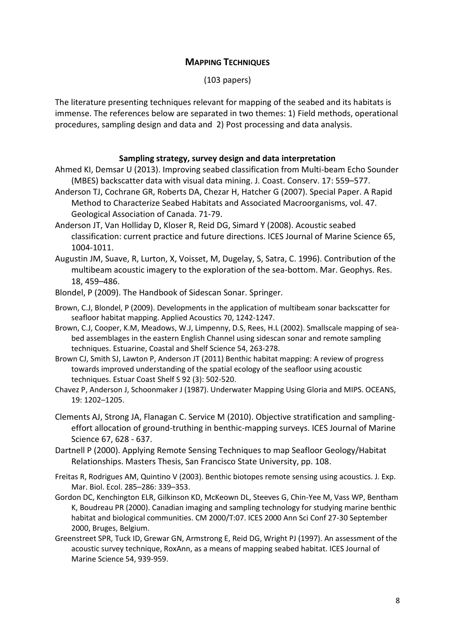# **MAPPING TECHNIQUES**

(103 papers)

The literature presenting techniques relevant for mapping of the seabed and its habitats is immense. The references below are separated in two themes: 1) Field methods, operational procedures, sampling design and data and 2) Post processing and data analysis.

# **Sampling strategy, survey design and data interpretation**

- Ahmed KI, Demsar U (2013). Improving seabed classification from Multi-beam Echo Sounder (MBES) backscatter data with visual data mining. J. Coast. Conserv. 17: 559–577.
- Anderson TJ, Cochrane GR, Roberts DA, Chezar H, Hatcher G (2007). Special Paper. A Rapid Method to Characterize Seabed Habitats and Associated Macroorganisms, vol. 47. Geological Association of Canada. 71-79.
- Anderson JT, Van Holliday D, Kloser R, Reid DG, Simard Y (2008). Acoustic seabed classification: current practice and future directions. ICES Journal of Marine Science 65, 1004-1011.
- Augustin JM, Suave, R, Lurton, X, Voisset, M, Dugelay, S, Satra, C. 1996). Contribution of the multibeam acoustic imagery to the exploration of the sea-bottom. Mar. Geophys. Res. 18, 459–486.
- Blondel, P (2009). The Handbook of Sidescan Sonar. Springer.
- Brown, C.J, Blondel, P (2009). Developments in the application of multibeam sonar backscatter for seafloor habitat mapping. Applied Acoustics 70, 1242-1247.
- Brown, C.J, Cooper, K.M, Meadows, W.J, Limpenny, D.S, Rees, H.L (2002). Smallscale mapping of seabed assemblages in the eastern English Channel using sidescan sonar and remote sampling techniques. Estuarine, Coastal and Shelf Science 54, 263-278.
- Brown CJ, Smith SJ, Lawton P, Anderson JT (2011) Benthic habitat mapping: A review of progress towards improved understanding of the spatial ecology of the seafloor using acoustic techniques. Estuar Coast Shelf S 92 (3): 502-520.
- Chavez P, Anderson J, Schoonmaker J (1987). Underwater Mapping Using Gloria and MIPS. OCEANS, 19: 1202–1205.
- Clements AJ, Strong JA, Flanagan C. Service M (2010). Objective stratification and samplingeffort allocation of ground-truthing in benthic-mapping surveys. ICES Journal of Marine Science 67, 628 - 637.
- Dartnell P (2000). Applying Remote Sensing Techniques to map Seafloor Geology/Habitat Relationships. Masters Thesis, San Francisco State University, pp. 108.
- Freitas R, Rodrigues AM, Quintino V (2003). Benthic biotopes remote sensing using acoustics. J. Exp. Mar. Biol. Ecol. 285–286: 339–353.
- Gordon DC, Kenchington ELR, Gilkinson KD, McKeown DL, Steeves G, Chin-Yee M, Vass WP, Bentham K, Boudreau PR (2000). Canadian imaging and sampling technology for studying marine benthic habitat and biological communities. CM 2000/T:07. ICES 2000 Ann Sci Conf 27-30 September 2000, Bruges, Belgium.
- Greenstreet SPR, Tuck ID, Grewar GN, Armstrong E, Reid DG, Wright PJ (1997). An assessment of the acoustic survey technique, RoxAnn, as a means of mapping seabed habitat. ICES Journal of Marine Science 54, 939-959.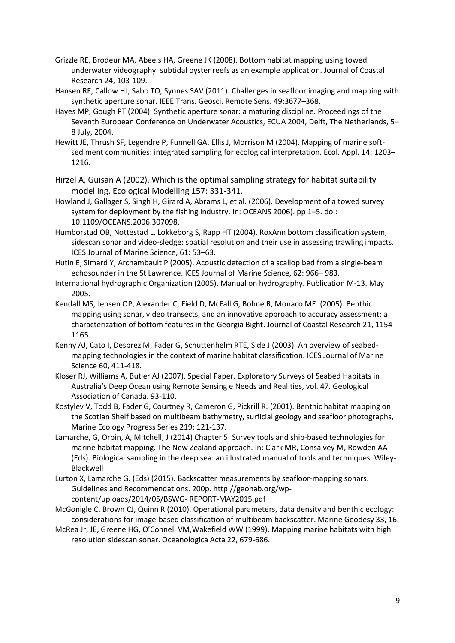- Grizzle RE, Brodeur MA, Abeels HA, Greene JK (2008). Bottom habitat mapping using towed underwater videography: subtidal oyster reefs as an example application. Journal of Coastal Research 24, 103-109.
- Hansen RE, Callow HJ, Sabo TO, Synnes SAV (2011). Challenges in seafloor imaging and mapping with synthetic aperture sonar. IEEE Trans. Geosci. Remote Sens. 49:3677–368.
- Hayes MP, Gough PT (2004). Synthetic aperture sonar: a maturing discipline. Proceedings of the Seventh European Conference on Underwater Acoustics, ECUA 2004, Delft, The Netherlands, 5– 8 July, 2004.
- Hewitt JE, Thrush SF, Legendre P, Funnell GA, Ellis J, Morrison M (2004). Mapping of marine softsediment communities: integrated sampling for ecological interpretation. Ecol. Appl. 14: 1203– 1216.
- Hirzel A, Guisan A (2002). Which is the optimal sampling strategy for habitat suitability modelling. Ecological Modelling 157: 331-341.
- Howland J, Gallager S, Singh H, Girard A, Abrams L, et al. (2006). Development of a towed survey system for deployment by the fishing industry. In: OCEANS 2006). pp 1–5. doi: 10.1109/OCEANS.2006.307098.
- Humborstad OB, Nottestad L, Lokkeborg S, Rapp HT (2004). RoxAnn bottom classification system, sidescan sonar and video-sledge: spatial resolution and their use in assessing trawling impacts. ICES Journal of Marine Science, 61: 53–63.
- Hutin E, Simard Y, Archambault P (2005). Acoustic detection of a scallop bed from a single-beam echosounder in the St Lawrence. ICES Journal of Marine Science, 62: 966– 983.
- International hydrographic Organization (2005). Manual on hydrography. Publication M-13. May 2005.
- Kendall MS, Jensen OP, Alexander C, Field D, McFall G, Bohne R, Monaco ME. (2005). Benthic mapping using sonar, video transects, and an innovative approach to accuracy assessment: a characterization of bottom features in the Georgia Bight. Journal of Coastal Research 21, 1154- 1165.
- Kenny AJ, Cato I, Desprez M, Fader G, Schuttenhelm RTE, Side J (2003). An overview of seabedmapping technologies in the context of marine habitat classification. ICES Journal of Marine Science 60, 411-418.
- Kloser RJ, Williams A, Butler AJ (2007). Special Paper. Exploratory Surveys of Seabed Habitats in Australia's Deep Ocean using Remote Sensing e Needs and Realities, vol. 47. Geological Association of Canada. 93-110.
- Kostylev V, Todd B, Fader G, Courtney R, Cameron G, Pickrill R. (2001). Benthic habitat mapping on the Scotian Shelf based on multibeam bathymetry, surficial geology and seafloor photographs, Marine Ecology Progress Series 219: 121-137.
- Lamarche, G, Orpin, A, Mitchell, J (2014) Chapter 5: Survey tools and ship-based technologies for marine habitat mapping. The New Zealand approach. In: Clark MR, Consalvey M, Rowden AA (Eds). Biological sampling in the deep sea: an illustrated manual of tools and techniques. Wiley-Blackwell
- Lurton X, Lamarche G. (Eds) (2015). Backscatter measurements by seafloor‐mapping sonars. Guidelines and Recommendations. 200p. http://geohab.org/wp‐ content/uploads/2014/05/BSWG‐ REPORT‐MAY2015.pdf
- McGonigle C, Brown CJ, Quinn R (2010). Operational parameters, data density and benthic ecology: considerations for image-based classification of multibeam backscatter. Marine Geodesy 33, 16.
- McRea Jr, JE, Greene HG, O'Connell VM,Wakefield WW (1999). Mapping marine habitats with high resolution sidescan sonar. Oceanologica Acta 22, 679-686.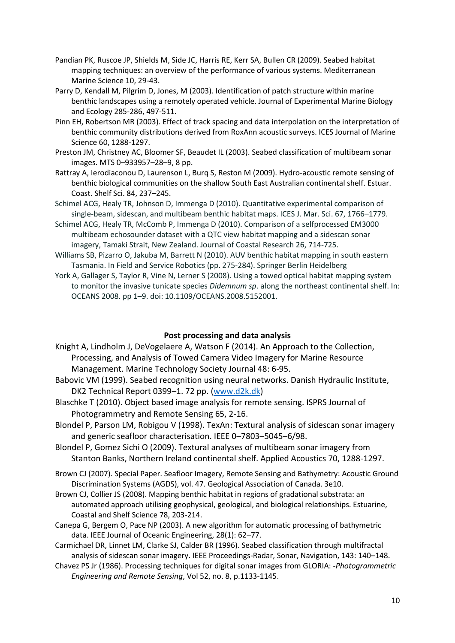- Pandian PK, Ruscoe JP, Shields M, Side JC, Harris RE, Kerr SA, Bullen CR (2009). Seabed habitat mapping techniques: an overview of the performance of various systems. Mediterranean Marine Science 10, 29-43.
- Parry D, Kendall M, Pilgrim D, Jones, M (2003). Identification of patch structure within marine benthic landscapes using a remotely operated vehicle. Journal of Experimental Marine Biology and Ecology 285-286, 497-511.
- Pinn EH, Robertson MR (2003). Effect of track spacing and data interpolation on the interpretation of benthic community distributions derived from RoxAnn acoustic surveys. ICES Journal of Marine Science 60, 1288-1297.
- Preston JM, Christney AC, Bloomer SF, Beaudet IL (2003). Seabed classification of multibeam sonar images. MTS 0–933957–28–9, 8 pp.
- Rattray A, Ierodiaconou D, Laurenson L, Burq S, Reston M (2009). Hydro-acoustic remote sensing of benthic biological communities on the shallow South East Australian continental shelf. Estuar. Coast. Shelf Sci. 84, 237–245.
- Schimel ACG, Healy TR, Johnson D, Immenga D (2010). Quantitative experimental comparison of single-beam, sidescan, and multibeam benthic habitat maps. ICES J. Mar. Sci. 67, 1766–1779.
- Schimel ACG, Healy TR, McComb P, Immenga D (2010). Comparison of a selfprocessed EM3000 multibeam echosounder dataset with a QTC view habitat mapping and a sidescan sonar imagery, Tamaki Strait, New Zealand. Journal of Coastal Research 26, 714-725.
- Williams SB, Pizarro O, Jakuba M, Barrett N (2010). AUV benthic habitat mapping in south eastern Tasmania. In Field and Service Robotics (pp. 275-284). Springer Berlin Heidelberg
- York A, Gallager S, Taylor R, Vine N, Lerner S (2008). Using a towed optical habitat mapping system to monitor the invasive tunicate species *Didemnum sp*. along the northeast continental shelf. In: OCEANS 2008. pp 1–9. doi: 10.1109/OCEANS.2008.5152001.

## **Post processing and data analysis**

- Knight A, Lindholm J, DeVogelaere A, Watson F (2014). An Approach to the Collection, Processing, and Analysis of Towed Camera Video Imagery for Marine Resource Management. Marine Technology Society Journal 48: 6-95.
- Babovic VM (1999). Seabed recognition using neural networks. Danish Hydraulic Institute, DK2 Technical Report 0399–1. 72 pp. [\(www.d2k.dk\)](http://www.d2k.dk/)
- Blaschke T (2010). Object based image analysis for remote sensing. ISPRS Journal of Photogrammetry and Remote Sensing 65, 2-16.
- Blondel P, Parson LM, Robigou V (1998). TexAn: Textural analysis of sidescan sonar imagery and generic seafloor characterisation. IEEE 0–7803–5045–6/98.
- Blondel P, Gomez Sichi O (2009). Textural analyses of multibeam sonar imagery from Stanton Banks, Northern Ireland continental shelf. Applied Acoustics 70, 1288-1297.
- Brown CJ (2007). Special Paper. Seafloor Imagery, Remote Sensing and Bathymetry: Acoustic Ground Discrimination Systems (AGDS), vol. 47. Geological Association of Canada. 3e10.
- Brown CJ, Collier JS (2008). Mapping benthic habitat in regions of gradational substrata: an automated approach utilising geophysical, geological, and biological relationships. Estuarine, Coastal and Shelf Science 78, 203-214.
- Canepa G, Bergem O, Pace NP (2003). A new algorithm for automatic processing of bathymetric data. IEEE Journal of Oceanic Engineering, 28(1): 62–77.
- Carmichael DR, Linnet LM, Clarke SJ, Calder BR (1996). Seabed classification through multifractal analysis of sidescan sonar imagery. IEEE Proceedings-Radar, Sonar, Navigation, 143: 140–148.
- Chavez PS Jr (1986). Processing techniques for digital sonar images from GLORIA: -*Photogrammetric Engineering and Remote Sensing*, Vol 52, no. 8, p.1133-1145.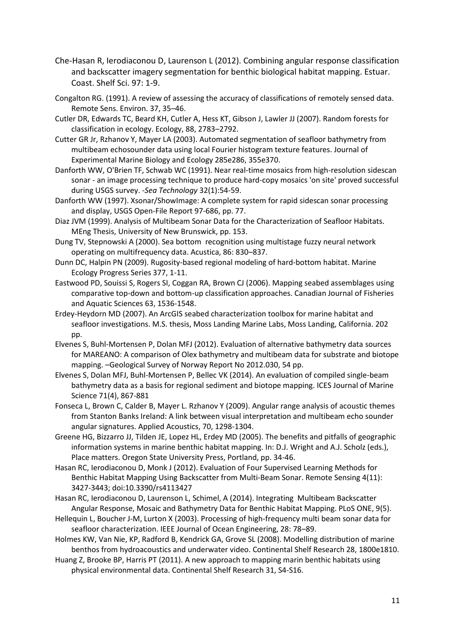- Che-Hasan R, Ierodiaconou D, Laurenson L (2012). Combining angular response classification and backscatter imagery segmentation for benthic biological habitat mapping. Estuar. Coast. Shelf Sci. 97: 1-9.
- Congalton RG. (1991). A review of assessing the accuracy of classifications of remotely sensed data. Remote Sens. Environ. 37, 35–46.
- Cutler DR, Edwards TC, Beard KH, Cutler A, Hess KT, Gibson J, Lawler JJ (2007). Random forests for classification in ecology. Ecology, 88, 2783–2792.
- Cutter GR Jr, Rzhanov Y, Mayer LA (2003). Automated segmentation of seafloor bathymetry from multibeam echosounder data using local Fourier histogram texture features. Journal of Experimental Marine Biology and Ecology 285e286, 355e370.
- Danforth WW, O'Brien TF, Schwab WC (1991). Near real-time mosaics from high-resolution sidescan sonar - an image processing technique to produce hard-copy mosaics 'on site' proved successful during USGS survey. -*Sea Technology* 32(1):54-59.
- Danforth WW (1997). Xsonar/ShowImage: A complete system for rapid sidescan sonar processing and display, USGS Open-File Report 97-686, pp. 77.
- Diaz JVM (1999). Analysis of Multibeam Sonar Data for the Characterization of Seafloor Habitats. MEng Thesis, University of New Brunswick, pp. 153.
- Dung TV, Stepnowski A (2000). Sea bottom recognition using multistage fuzzy neural network operating on multifrequency data. Acustica, 86: 830–837.
- Dunn DC, Halpin PN (2009). Rugosity-based regional modeling of hard-bottom habitat. Marine Ecology Progress Series 377, 1-11.
- Eastwood PD, Souissi S, Rogers SI, Coggan RA, Brown CJ (2006). Mapping seabed assemblages using comparative top-down and bottom-up classification approaches. Canadian Journal of Fisheries and Aquatic Sciences 63, 1536-1548.
- Erdey-Heydorn MD (2007). An ArcGIS seabed characterization toolbox for marine habitat and seafloor investigations. M.S. thesis, Moss Landing Marine Labs, Moss Landing, California. 202 pp.
- Elvenes S, Buhl-Mortensen P, Dolan MFJ (2012). Evaluation of alternative bathymetry data sources for MAREANO: A comparison of Olex bathymetry and multibeam data for substrate and biotope mapping. –Geological Survey of Norway Report No 2012.030, 54 pp.
- Elvenes S, Dolan MFJ, Buhl-Mortensen P, Bellec VK (2014). An evaluation of compiled single-beam bathymetry data as a basis for regional sediment and biotope mapping. ICES Journal of Marine Science 71(4), 867-881
- Fonseca L, Brown C, Calder B, Mayer L. Rzhanov Y (2009). Angular range analysis of acoustic themes from Stanton Banks Ireland: A link between visual interpretation and multibeam echo sounder angular signatures. Applied Acoustics, 70, 1298-1304.
- Greene HG, Bizzarro JJ, Tilden JE, Lopez HL, Erdey MD (2005). The benefits and pitfalls of geographic information systems in marine benthic habitat mapping. In: D.J. Wright and A.J. Scholz (eds.), Place matters. Oregon State University Press, Portland, pp. 34-46.
- Hasan RC, Ierodiaconou D, Monk J (2012). Evaluation of Four Supervised Learning Methods for Benthic Habitat Mapping Using Backscatter from Multi-Beam Sonar. Remote Sensing 4(11): 3427-3443; doi:10.3390/rs4113427
- Hasan RC, Ierodiaconou D, Laurenson L, Schimel, A (2014). Integrating Multibeam Backscatter Angular Response, Mosaic and Bathymetry Data for Benthic Habitat Mapping. PLoS ONE, 9(5).
- Hellequin L, Boucher J-M, Lurton X (2003). Processing of high-frequency multi beam sonar data for seafloor characterization. IEEE Journal of Ocean Engineering, 28: 78–89.
- Holmes KW, Van Nie, KP, Radford B, Kendrick GA, Grove SL (2008). Modelling distribution of marine benthos from hydroacoustics and underwater video. Continental Shelf Research 28, 1800e1810.
- Huang Z, Brooke BP, Harris PT (2011). A new approach to mapping marin benthic habitats using physical environmental data. Continental Shelf Research 31, S4-S16.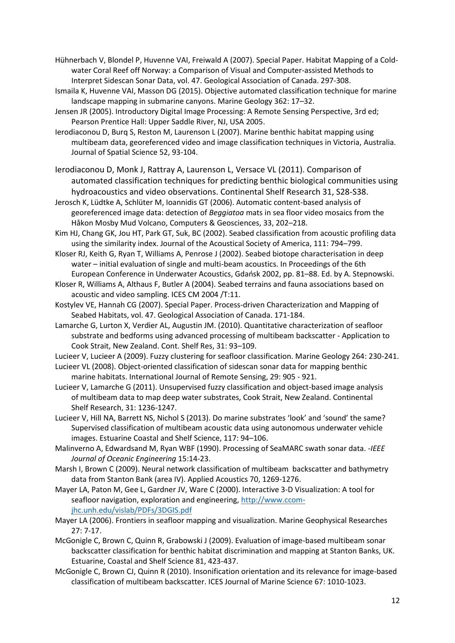Hühnerbach V, Blondel P, Huvenne VAI, Freiwald A (2007). Special Paper. Habitat Mapping of a Coldwater Coral Reef off Norway: a Comparison of Visual and Computer-assisted Methods to Interpret Sidescan Sonar Data, vol. 47. Geological Association of Canada. 297-308.

- Ismaila K, Huvenne VAI, Masson DG (2015). Objective automated classification technique for marine landscape mapping in submarine canyons. Marine Geology 362: 17–32.
- Jensen JR (2005). Introductory Digital Image Processing: A Remote Sensing Perspective, 3rd ed; Pearson Prentice Hall: Upper Saddle River, NJ, USA 2005.

Ierodiaconou D, Burq S, Reston M, Laurenson L (2007). Marine benthic habitat mapping using multibeam data, georeferenced video and image classification techniques in Victoria, Australia. Journal of Spatial Science 52, 93-104.

Ierodiaconou D, Monk J, Rattray A, Laurenson L, Versace VL (2011). Comparison of automated classification techniques for predicting benthic biological communities using hydroacoustics and video observations. Continental Shelf Research 31, S28-S38.

Jerosch K, Lüdtke A, Schlüter M, Ioannidis GT (2006). Automatic content-based analysis of georeferenced image data: detection of *Beggiatoa* mats in sea floor video mosaics from the Håkon Mosby Mud Volcano, Computers & Geosciences, 33, 202–218.

Kim HJ, Chang GK, Jou HT, Park GT, Suk, BC (2002). Seabed classification from acoustic profiling data using the similarity index. Journal of the Acoustical Society of America, 111: 794–799.

Kloser RJ, Keith G, Ryan T, Williams A, Penrose J (2002). Seabed biotope characterisation in deep water – initial evaluation of single and multi-beam acoustics. In Proceedings of the 6th European Conference in Underwater Acoustics, Gdańsk 2002, pp. 81–88. Ed. by A. Stepnowski.

Kloser R, Williams A, Althaus F, Butler A (2004). Seabed terrains and fauna associations based on acoustic and video sampling. ICES CM 2004 /T:11.

Kostylev VE, Hannah CG (2007). Special Paper. Process-driven Characterization and Mapping of Seabed Habitats, vol. 47. Geological Association of Canada. 171-184.

Lamarche G, Lurton X, Verdier AL, Augustin JM. (2010). Quantitative characterization of seafloor substrate and bedforms using advanced processing of multibeam backscatter - Application to Cook Strait, New Zealand. Cont. Shelf Res, 31: 93–109.

Lucieer V, Lucieer A (2009). Fuzzy clustering for seafloor classification. Marine Geology 264: 230-241.

Lucieer VL (2008). Object-oriented classification of sidescan sonar data for mapping benthic marine habitats. International Journal of Remote Sensing, 29: 905 - 921.

Lucieer V, Lamarche G (2011). Unsupervised fuzzy classification and object-based image analysis of multibeam data to map deep water substrates, Cook Strait, New Zealand. Continental Shelf Research, 31: 1236-1247.

Lucieer V, Hill NA, Barrett NS, Nichol S (2013). Do marine substrates 'look' and 'sound' the same? Supervised classification of multibeam acoustic data using autonomous underwater vehicle images. Estuarine Coastal and Shelf Science, 117: 94–106.

Malinverno A, Edwardsand M, Ryan WBF (1990). Processing of SeaMARC swath sonar data. -*IEEE Journal of Oceanic Engineering* 15:14-23.

Marsh I, Brown C (2009). Neural network classification of multibeam backscatter and bathymetry data from Stanton Bank (area IV). Applied Acoustics 70, 1269-1276.

Mayer LA, Paton M, Gee L, Gardner JV, Ware C (2000). Interactive 3-D Visualization: A tool for seafloor navigation, exploration and engineering[, http://www.ccom](http://www.ccom-jhc.unh.edu/vislab/PDFs/3DGIS.pdf)[jhc.unh.edu/vislab/PDFs/3DGIS.pdf](http://www.ccom-jhc.unh.edu/vislab/PDFs/3DGIS.pdf)

Mayer LA (2006). Frontiers in seafloor mapping and visualization. Marine Geophysical Researches 27: 7-17.

McGonigle C, Brown C, Quinn R, Grabowski J (2009). Evaluation of image-based multibeam sonar backscatter classification for benthic habitat discrimination and mapping at Stanton Banks, UK. Estuarine, Coastal and Shelf Science 81, 423-437.

McGonigle C, Brown CJ, Quinn R (2010). Insonification orientation and its relevance for image-based classification of multibeam backscatter. ICES Journal of Marine Science 67: 1010-1023.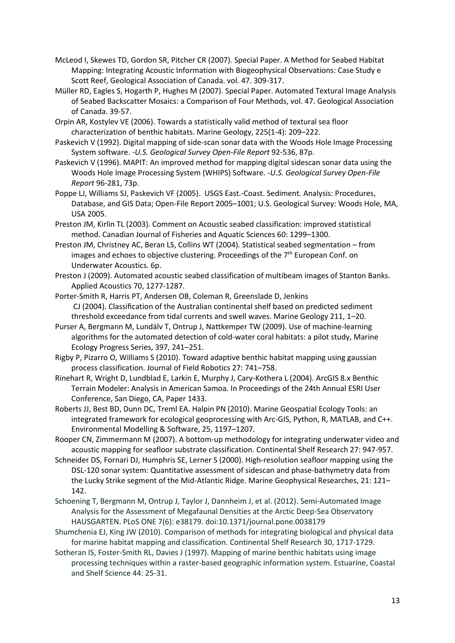- McLeod I, Skewes TD, Gordon SR, Pitcher CR (2007). Special Paper. A Method for Seabed Habitat Mapping: Integrating Acoustic Information with Biogeophysical Observations: Case Study e Scott Reef, Geological Association of Canada. vol. 47. 309-317.
- Müller RD, Eagles S, Hogarth P, Hughes M (2007). Special Paper. Automated Textural Image Analysis of Seabed Backscatter Mosaics: a Comparison of Four Methods, vol. 47. Geological Association of Canada. 39-57.
- Orpin AR, Kostylev VE (2006). Towards a statistically valid method of textural sea floor characterization of benthic habitats. Marine Geology, 225(1-4): 209–222.
- Paskevich V (1992). Digital mapping of side-scan sonar data with the Woods Hole Image Processing System software. -*U.S. Geological Survey Open-File Report* 92-536, 87p.
- Paskevich V (1996). MAPIT: An improved method for mapping digital sidescan sonar data using the Woods Hole Image Processing System (WHIPS) Software. -*U.S. Geological Survey Open-File Report* 96-281, 73p.
- Poppe LJ, Williams SJ, Paskevich VF (2005). USGS East.-Coast. Sediment. Analysis: Procedures, Database, and GIS Data; Open-File Report 2005–1001; U.S. Geological Survey: Woods Hole, MA, USA 2005.
- Preston JM, Kirlin TL (2003). Comment on Acoustic seabed classification: improved statistical method. Canadian Journal of Fisheries and Aquatic Sciences 60: 1299–1300.
- Preston JM, Christney AC, Beran LS, Collins WT (2004). Statistical seabed segmentation from images and echoes to objective clustering. Proceedings of the  $7<sup>th</sup>$  European Conf. on Underwater Acoustics. 6p.
- Preston J (2009). Automated acoustic seabed classification of multibeam images of Stanton Banks. Applied Acoustics 70, 1277-1287.
- Porter-Smith R, Harris PT, Andersen OB, Coleman R, Greenslade D, Jenkins CJ (2004). Classification of the Australian continental shelf based on predicted sediment threshold exceedance from tidal currents and swell waves. Marine Geology 211, 1–20.
- Purser A, Bergmann M, Lundälv T, Ontrup J, Nattkemper TW (2009). Use of machine-learning algorithms for the automated detection of cold-water coral habitats: a pilot study, Marine Ecology Progress Series, 397, 241–251.
- Rigby P, Pizarro O, Williams S (2010). Toward adaptive benthic habitat mapping using gaussian process classification. Journal of Field Robotics 27: 741–758.
- Rinehart R, Wright D, Lundblad E, Larkin E, Murphy J, Cary-Kothera L (2004). ArcGIS 8.x Benthic Terrain Modeler: Analysis in American Samoa. In Proceedings of the 24th Annual ESRI User Conference, San Diego, CA, Paper 1433.
- Roberts JJ, Best BD, Dunn DC, Treml EA. Halpin PN (2010). Marine Geospatial Ecology Tools: an integrated framework for ecological geoprocessing with Arc-GIS, Python, R, MATLAB, and C++. Environmental Modelling & Software, 25, 1197–1207.
- Rooper CN, Zimmermann M (2007). A bottom-up methodology for integrating underwater video and acoustic mapping for seafloor substrate classification. Continental Shelf Research 27: 947-957.
- Schneider DS, Fornari DJ, Humphris SE, Lerner S (2000). High-resolution seafloor mapping using the DSL-120 sonar system: Quantitative assessment of sidescan and phase-bathymetry data from the Lucky Strike segment of the Mid-Atlantic Ridge. Marine Geophysical Researches, 21: 121– 142.
- Schoening T, Bergmann M, Ontrup J, Taylor J, Dannheim J, et al. (2012). Semi-Automated Image Analysis for the Assessment of Megafaunal Densities at the Arctic Deep-Sea Observatory HAUSGARTEN. PLoS ONE 7(6): e38179. doi:10.1371/journal.pone.0038179
- Shumchenia EJ, King JW (2010). Comparison of methods for integrating biological and physical data for marine habitat mapping and classification. Continental Shelf Research 30, 1717-1729.
- Sotheran IS, Foster-Smith RL, Davies J (1997). Mapping of marine benthic habitats using image processing techniques within a raster-based geographic information system. Estuarine, Coastal and Shelf Science 44: 25-31.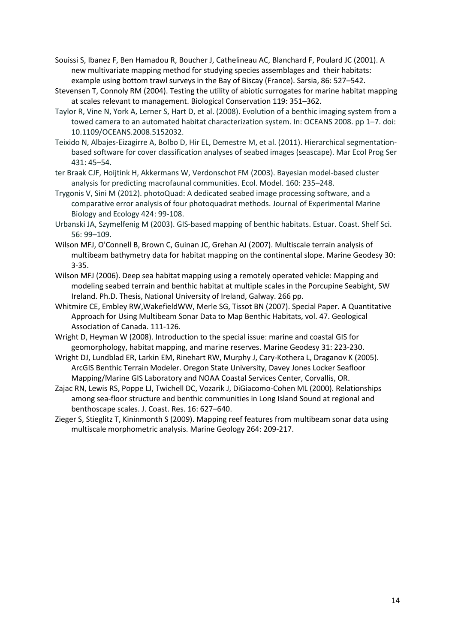Souissi S, Ibanez F, Ben Hamadou R, Boucher J, Cathelineau AC, Blanchard F, Poulard JC (2001). A new multivariate mapping method for studying species assemblages and their habitats: example using bottom trawl surveys in the Bay of Biscay (France). Sarsia, 86: 527–542.

- Stevensen T, Connoly RM (2004). Testing the utility of abiotic surrogates for marine habitat mapping at scales relevant to management. Biological Conservation 119: 351–362.
- Taylor R, Vine N, York A, Lerner S, Hart D, et al. (2008). Evolution of a benthic imaging system from a towed camera to an automated habitat characterization system. In: OCEANS 2008. pp 1–7. doi: 10.1109/OCEANS.2008.5152032.
- Teixido N, Albajes-Eizagirre A, Bolbo D, Hir EL, Demestre M, et al. (2011). Hierarchical segmentationbased software for cover classification analyses of seabed images (seascape). Mar Ecol Prog Ser 431: 45–54.
- ter Braak CJF, Hoijtink H, Akkermans W, Verdonschot FM (2003). Bayesian model-based cluster analysis for predicting macrofaunal communities. Ecol. Model. 160: 235–248.
- Trygonis V, Sini M (2012). photoQuad: A dedicated seabed image processing software, and a comparative error analysis of four photoquadrat methods. Journal of Experimental Marine Biology and Ecology 424: 99-108.
- Urbanski JA, Szymelfenig M (2003). GIS-based mapping of benthic habitats. Estuar. Coast. Shelf Sci. 56: 99–109.
- Wilson MFJ, O'Connell B, Brown C, Guinan JC, Grehan AJ (2007). Multiscale terrain analysis of multibeam bathymetry data for habitat mapping on the continental slope. Marine Geodesy 30: 3-35.
- Wilson MFJ (2006). Deep sea habitat mapping using a remotely operated vehicle: Mapping and modeling seabed terrain and benthic habitat at multiple scales in the Porcupine Seabight, SW Ireland. Ph.D. Thesis, National University of Ireland, Galway. 266 pp.
- Whitmire CE, Embley RW,WakefieldWW, Merle SG, Tissot BN (2007). Special Paper. A Quantitative Approach for Using Multibeam Sonar Data to Map Benthic Habitats, vol. 47. Geological Association of Canada. 111-126.
- Wright D, Heyman W (2008). Introduction to the special issue: marine and coastal GIS for geomorphology, habitat mapping, and marine reserves. Marine Geodesy 31: 223-230.
- Wright DJ, Lundblad ER, Larkin EM, Rinehart RW, Murphy J, Cary-Kothera L, Draganov K (2005). ArcGIS Benthic Terrain Modeler. Oregon State University, Davey Jones Locker Seafloor Mapping/Marine GIS Laboratory and NOAA Coastal Services Center, Corvallis, OR.
- Zajac RN, Lewis RS, Poppe LJ, Twichell DC, Vozarik J, DiGiacomo-Cohen ML (2000). Relationships among sea-floor structure and benthic communities in Long Island Sound at regional and benthoscape scales. J. Coast. Res. 16: 627–640.
- Zieger S, Stieglitz T, Kininmonth S (2009). Mapping reef features from multibeam sonar data using multiscale morphometric analysis. Marine Geology 264: 209-217.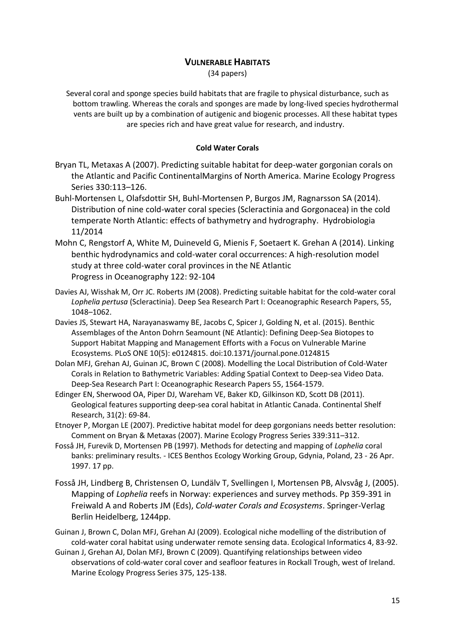# **VULNERABLE HABITATS**

(34 papers)

Several coral and sponge species build habitats that are fragile to physical disturbance, such as bottom trawling. Whereas the corals and sponges are made by long-lived species hydrothermal vents are built up by a combination of autigenic and biogenic processes. All these habitat types are species rich and have great value for research, and industry.

## **Cold Water Corals**

- Bryan TL, Metaxas A (2007). Predicting suitable habitat for deep-water gorgonian corals on the Atlantic and Pacific ContinentalMargins of North America. Marine Ecology Progress Series 330:113–126.
- Buhl-Mortensen L, Olafsdottir SH, Buhl-Mortensen P, Burgos JM, Ragnarsson SA (2014). Distribution of nine cold-water coral species (Scleractinia and Gorgonacea) in the cold temperate North Atlantic: effects of bathymetry and hydrography. Hydrobiologia 11/2014
- Mohn C, Rengstorf A, White M, Duineveld G, Mienis F, Soetaert K. Grehan A (2014). Linking benthic hydrodynamics and cold-water coral occurrences: A high-resolution model study at three cold-water coral provinces in the NE Atlantic Progress in Oceanography 122: 92-104
- Davies AJ, Wisshak M, Orr JC. Roberts JM (2008). Predicting suitable habitat for the cold-water coral *Lophelia pertusa* (Scleractinia). Deep Sea Research Part I: Oceanographic Research Papers, 55, 1048–1062.
- Davies JS, Stewart HA, Narayanaswamy BE, Jacobs C, Spicer J, Golding N, et al. (2015). Benthic Assemblages of the Anton Dohrn Seamount (NE Atlantic): Defining Deep-Sea Biotopes to Support Habitat Mapping and Management Efforts with a Focus on Vulnerable Marine Ecosystems. PLoS ONE 10(5): e0124815. doi:10.1371/journal.pone.0124815
- Dolan MFJ, Grehan AJ, Guinan JC, Brown C (2008). Modelling the Local Distribution of Cold-Water Corals in Relation to Bathymetric Variables: Adding Spatial Context to Deep-sea Video Data. Deep-Sea Research Part I: Oceanographic Research Papers 55, 1564-1579.
- Edinger EN, Sherwood OA, Piper DJ, Wareham VE, Baker KD, Gilkinson KD, Scott DB (2011). Geological features supporting deep-sea coral habitat in Atlantic Canada. Continental Shelf Research, 31(2): 69-84.
- Etnoyer P, Morgan LE (2007). Predictive habitat model for deep gorgonians needs better resolution: Comment on Bryan & Metaxas (2007). Marine Ecology Progress Series 339:311–312.
- Fosså JH, Furevik D, Mortensen PB (1997). Methods for detecting and mapping of *Lophelia* coral banks: preliminary results. - ICES Benthos Ecology Working Group, Gdynia, Poland, 23 - 26 Apr. 1997. 17 pp.
- Fosså JH, Lindberg B, Christensen O, Lundälv T, Svellingen I, Mortensen PB, Alvsvåg J, (2005). Mapping of *Lophelia* reefs in Norway: experiences and survey methods. Pp 359-391 in Freiwald A and Roberts JM (Eds), *Cold-water Corals and Ecosystems*. Springer-Verlag Berlin Heidelberg, 1244pp.
- Guinan J, Brown C, Dolan MFJ, Grehan AJ (2009). Ecological niche modelling of the distribution of cold-water coral habitat using underwater remote sensing data. Ecological Informatics 4, 83-92.
- Guinan J, Grehan AJ, Dolan MFJ, Brown C (2009). Quantifying relationships between video observations of cold-water coral cover and seafloor features in Rockall Trough, west of Ireland. Marine Ecology Progress Series 375, 125-138.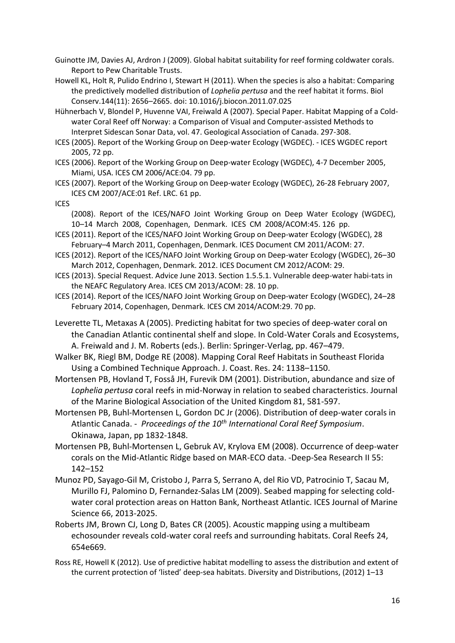Guinotte JM, Davies AJ, Ardron J (2009). Global habitat suitability for reef forming coldwater corals. Report to Pew Charitable Trusts.

Howell KL, Holt R, Pulido Endrino I, Stewart H (2011). When the species is also a habitat: Comparing the predictively modelled distribution of *Lophelia pertusa* and the reef habitat it forms. Biol Conserv.144(11): 2656–2665. doi: 10.1016/j.biocon.2011.07.025

Hühnerbach V, Blondel P, Huvenne VAI, Freiwald A (2007). Special Paper. Habitat Mapping of a Coldwater Coral Reef off Norway: a Comparison of Visual and Computer-assisted Methods to Interpret Sidescan Sonar Data, vol. 47. Geological Association of Canada. 297-308.

ICES (2005). Report of the Working Group on Deep-water Ecology (WGDEC). - ICES WGDEC report 2005, 72 pp.

ICES (2006). Report of the Working Group on Deep-water Ecology (WGDEC), 4-7 December 2005, Miami, USA. ICES CM 2006/ACE:04. 79 pp.

ICES (2007). Report of the Working Group on Deep-water Ecology (WGDEC), 26-28 February 2007, ICES CM 2007/ACE:01 Ref. LRC. 61 pp.

ICES

(2008). Report of the ICES/NAFO Joint Working Group on Deep Water Ecology (WGDEC), 10–14 March 2008, Copenhagen, Denmark. ICES CM 2008/ACOM:45. 126 pp.

- ICES (2011). Report of the ICES/NAFO Joint Working Group on Deep-water Ecology (WGDEC), 28 February–4 March 2011, Copenhagen, Denmark. ICES Document CM 2011/ACOM: 27.
- ICES (2012). Report of the ICES/NAFO Joint Working Group on Deep-water Ecology (WGDEC), 26–30 March 2012, Copenhagen, Denmark. 2012. ICES Document CM 2012/ACOM: 29.
- ICES (2013). Special Request. Advice June 2013. Section 1.5.5.1. Vulnerable deep-water habi-tats in the NEAFC Regulatory Area. ICES CM 2013/ACOM: 28. 10 pp.
- ICES (2014). Report of the ICES/NAFO Joint Working Group on Deep-water Ecology (WGDEC), 24–28 February 2014, Copenhagen, Denmark. ICES CM 2014/ACOM:29. 70 pp.

Leverette TL, Metaxas A (2005). Predicting habitat for two species of deep-water coral on the Canadian Atlantic continental shelf and slope. In Cold-Water Corals and Ecosystems, A. Freiwald and J. M. Roberts (eds.). Berlin: Springer-Verlag, pp. 467–479.

Walker BK, Riegl BM, Dodge RE (2008). Mapping Coral Reef Habitats in Southeast Florida Using a Combined Technique Approach. J. Coast. Res. 24: 1138–1150.

Mortensen PB, Hovland T, Fosså JH, Furevik DM (2001). Distribution, abundance and size of *Lophelia pertusa* coral reefs in mid-Norway in relation to seabed characteristics. Journal of the Marine Biological Association of the United Kingdom 81, 581-597.

Mortensen PB, Buhl-Mortensen L, Gordon DC Jr (2006). Distribution of deep-water corals in Atlantic Canada. - *Proceedings of the 10th International Coral Reef Symposium*. Okinawa, Japan, pp 1832-1848.

Mortensen PB, Buhl-Mortensen L, Gebruk AV, Krylova EM (2008). Occurrence of deep-water corals on the Mid-Atlantic Ridge based on MAR-ECO data. -Deep-Sea Research II 55: 142–152

Munoz PD, Sayago-Gil M, Cristobo J, Parra S, Serrano A, del Rio VD, Patrocinio T, Sacau M, Murillo FJ, Palomino D, Fernandez-Salas LM (2009). Seabed mapping for selecting coldwater coral protection areas on Hatton Bank, Northeast Atlantic. ICES Journal of Marine Science 66, 2013-2025.

Roberts JM, Brown CJ, Long D, Bates CR (2005). Acoustic mapping using a multibeam echosounder reveals cold-water coral reefs and surrounding habitats. Coral Reefs 24, 654e669.

Ross RE, Howell K (2012). Use of predictive habitat modelling to assess the distribution and extent of the current protection of 'listed' deep-sea habitats. Diversity and Distributions, (2012) 1–13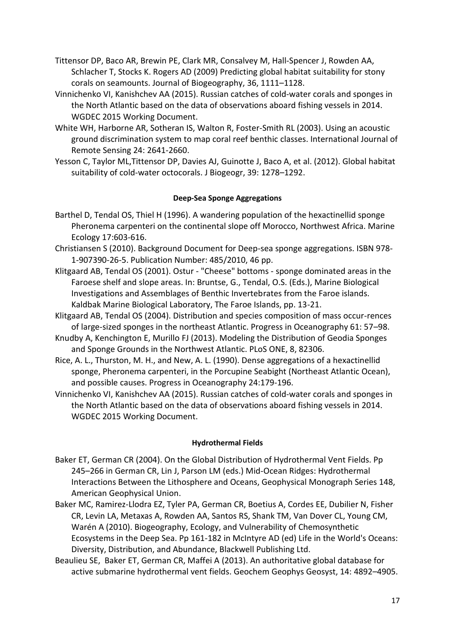- Tittensor DP, Baco AR, Brewin PE, Clark MR, Consalvey M, Hall-Spencer J, Rowden AA, Schlacher T, Stocks K. Rogers AD (2009) Predicting global habitat suitability for stony corals on seamounts. Journal of Biogeography, 36, 1111–1128.
- Vinnichenko VI, Kanishchev AA (2015). Russian catches of cold-water corals and sponges in the North Atlantic based on the data of observations aboard fishing vessels in 2014. WGDEC 2015 Working Document.
- White WH, Harborne AR, Sotheran IS, Walton R, Foster-Smith RL (2003). Using an acoustic ground discrimination system to map coral reef benthic classes. International Journal of Remote Sensing 24: 2641-2660.
- Yesson C, Taylor ML,Tittensor DP, Davies AJ, Guinotte J, Baco A, et al. (2012). Global habitat suitability of cold-water octocorals. J Biogeogr, 39: 1278–1292.

# **Deep-Sea Sponge Aggregations**

- Barthel D, Tendal OS, Thiel H (1996). A wandering population of the hexactinellid sponge Pheronema carpenteri on the continental slope off Morocco, Northwest Africa. Marine Ecology 17:603-616.
- Christiansen S (2010). Background Document for Deep-sea sponge aggregations. ISBN 978- 1-907390-26-5. Publication Number: 485/2010, 46 pp.
- Klitgaard AB, Tendal OS (2001). Ostur "Cheese" bottoms sponge dominated areas in the Faroese shelf and slope areas. In: Bruntse, G., Tendal, O.S. (Eds.), Marine Biological Investigations and Assemblages of Benthic Invertebrates from the Faroe islands. Kaldbak Marine Biological Laboratory, The Faroe Islands, pp. 13-21.
- Klitgaard AB, Tendal OS (2004). Distribution and species composition of mass occur-rences of large-sized sponges in the northeast Atlantic. Progress in Oceanography 61: 57–98.
- Knudby A, Kenchington E, Murillo FJ (2013). Modeling the Distribution of Geodia Sponges and Sponge Grounds in the Northwest Atlantic. PLoS ONE, 8, 82306.
- Rice, A. L., Thurston, M. H., and New, A. L. (1990). Dense aggregations of a hexactinellid sponge, Pheronema carpenteri, in the Porcupine Seabight (Northeast Atlantic Ocean), and possible causes. Progress in Oceanography 24:179-196.
- Vinnichenko VI, Kanishchev AA (2015). Russian catches of cold-water corals and sponges in the North Atlantic based on the data of observations aboard fishing vessels in 2014. WGDEC 2015 Working Document.

# **Hydrothermal Fields**

- Baker ET, German CR (2004). On the Global Distribution of Hydrothermal Vent Fields. Pp 245–266 in German CR, Lin J, Parson LM (eds.) Mid-Ocean Ridges: Hydrothermal Interactions Between the Lithosphere and Oceans, Geophysical Monograph Series 148, American Geophysical Union.
- Baker MC, Ramirez-Llodra EZ, Tyler PA, German CR, Boetius A, Cordes EE, Dubilier N, Fisher CR, Levin LA, Metaxas A, Rowden AA, Santos RS, Shank TM, Van Dover CL, Young CM, Warén A (2010). Biogeography, Ecology, and Vulnerability of Chemosynthetic Ecosystems in the Deep Sea. Pp 161-182 in McIntyre AD (ed) Life in the World's Oceans: Diversity, Distribution, and Abundance, Blackwell Publishing Ltd.
- Beaulieu SE, Baker ET, German CR, Maffei A (2013). An authoritative global database for active submarine hydrothermal vent fields. Geochem Geophys Geosyst, 14: 4892–4905.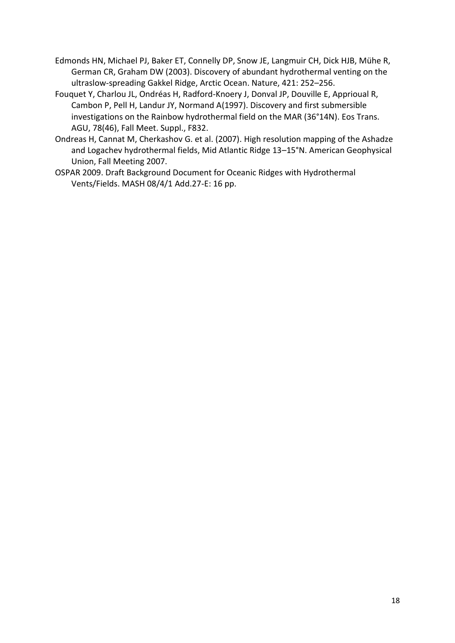- Edmonds HN, Michael PJ, Baker ET, Connelly DP, Snow JE, Langmuir CH, Dick HJB, Mühe R, German CR, Graham DW (2003). Discovery of abundant hydrothermal venting on the ultraslow-spreading Gakkel Ridge, Arctic Ocean. Nature, 421: 252–256.
- Fouquet Y, Charlou JL, Ondréas H, Radford-Knoery J, Donval JP, Douville E, Apprioual R, Cambon P, Pell H, Landur JY, Normand A(1997). Discovery and first submersible investigations on the Rainbow hydrothermal field on the MAR (36°14N). Eos Trans. AGU, 78(46), Fall Meet. Suppl., F832.
- Ondreas H, Cannat M, Cherkashov G. et al. (2007). High resolution mapping of the Ashadze and Logachev hydrothermal fields, Mid Atlantic Ridge 13–15°N. American Geophysical Union, Fall Meeting 2007.
- OSPAR 2009. Draft Background Document for Oceanic Ridges with Hydrothermal Vents/Fields. MASH 08/4/1 Add.27-E: 16 pp.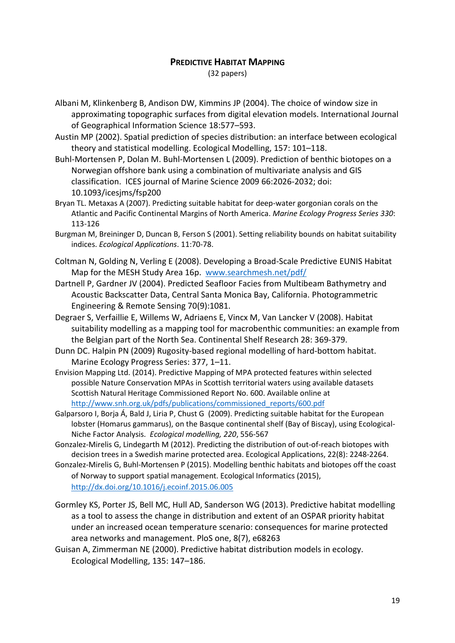# **PREDICTIVE HABITAT MAPPING**

(32 papers)

- Albani M, Klinkenberg B, Andison DW, Kimmins JP (2004). The choice of window size in approximating topographic surfaces from digital elevation models. International Journal of Geographical Information Science 18:577–593.
- Austin MP (2002). Spatial prediction of species distribution: an interface between ecological theory and statistical modelling. Ecological Modelling, 157: 101–118.
- Buhl-Mortensen P, Dolan M. Buhl-Mortensen L (2009). Prediction of benthic biotopes on a Norwegian offshore bank using a combination of multivariate analysis and GIS classification. ICES journal of Marine Science 2009 66:2026-2032; doi: 10.1093/icesjms/fsp200
- Bryan TL. Metaxas A (2007). Predicting suitable habitat for deep-water gorgonian corals on the Atlantic and Pacific Continental Margins of North America. *Marine Ecology Progress Series 330*: 113-126
- Burgman M, Breininger D, Duncan B, Ferson S (2001). Setting reliability bounds on habitat suitability indices. *Ecological Applications*. 11:70‐78.
- Coltman N, Golding N, Verling E (2008). Developing a Broad-Scale Predictive EUNIS Habitat Map for the MESH Study Area 16p. [www.searchmesh.net/pdf/](http://www.searchmesh.net/pdf/)
- Dartnell P, Gardner JV (2004). Predicted Seafloor Facies from Multibeam Bathymetry and Acoustic Backscatter Data, Central Santa Monica Bay, California. Photogrammetric Engineering & Remote Sensing 70(9):1081.
- Degraer S, Verfaillie E, Willems W, Adriaens E, Vincx M, Van Lancker V (2008). Habitat suitability modelling as a mapping tool for macrobenthic communities: an example from the Belgian part of the North Sea. Continental Shelf Research 28: 369-379.
- Dunn DC. Halpin PN (2009) Rugosity-based regional modelling of hard-bottom habitat. Marine Ecology Progress Series: 377, 1–11.
- Envision Mapping Ltd. (2014). Predictive Mapping of MPA protected features within selected possible Nature Conservation MPAs in Scottish territorial waters using available datasets Scottish Natural Heritage Commissioned Report No. 600. Available online at [http://www.snh.org.uk/pdfs/publications/commissioned\\_reports/600.pdf](http://www.snh.org.uk/pdfs/publications/commissioned_reports/600.pdf)
- Galparsoro I, Borja Á, Bald J, Liria P, Chust G (2009). Predicting suitable habitat for the European lobster (Homarus gammarus), on the Basque continental shelf (Bay of Biscay), using Ecological-Niche Factor Analysis. *Ecological modelling, 220*, 556-567
- Gonzalez-Mirelis G, Lindegarth M (2012). Predicting the distribution of out-of-reach biotopes with decision trees in a Swedish marine protected area. Ecological Applications, 22(8): 2248-2264.
- Gonzalez-Mirelis G, Buhl-Mortensen P (2015). Modelling benthic habitats and biotopes off the coast of Norway to support spatial management. Ecological Informatics (2015), <http://dx.doi.org/10.1016/j.ecoinf.2015.06.005>
- Gormley KS, Porter JS, Bell MC, Hull AD, Sanderson WG (2013). Predictive habitat modelling as a tool to assess the change in distribution and extent of an OSPAR priority habitat under an increased ocean temperature scenario: consequences for marine protected area networks and management. PloS one, 8(7), e68263
- Guisan A, Zimmerman NE (2000). Predictive habitat distribution models in ecology. Ecological Modelling, 135: 147–186.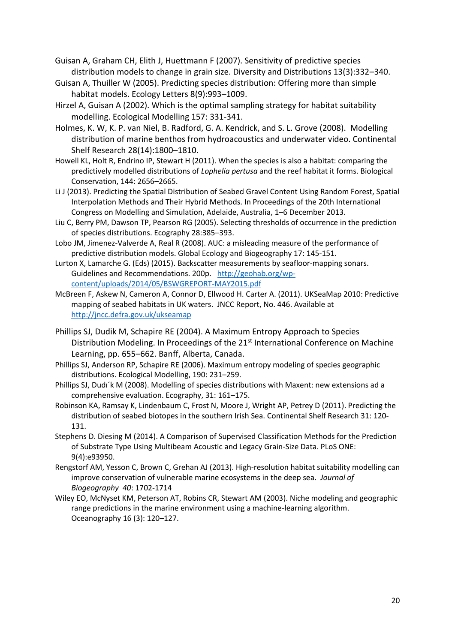Guisan A, Graham CH, Elith J, Huettmann F (2007). Sensitivity of predictive species distribution models to change in grain size. Diversity and Distributions 13(3):332–340.

- Guisan A, Thuiller W (2005). Predicting species distribution: Offering more than simple habitat models. Ecology Letters 8(9):993–1009.
- Hirzel A, Guisan A (2002). Which is the optimal sampling strategy for habitat suitability modelling. Ecological Modelling 157: 331-341.
- Holmes, K. W, K. P. van Niel, B. Radford, G. A. Kendrick, and S. L. Grove (2008). Modelling distribution of marine benthos from hydroacoustics and underwater video. Continental Shelf Research 28(14):1800–1810.

Howell KL, Holt R, Endrino IP, Stewart H (2011). When the species is also a habitat: comparing the predictively modelled distributions of *Lophelia pertusa* and the reef habitat it forms. Biological Conservation, 144: 2656–2665.

- Li J (2013). Predicting the Spatial Distribution of Seabed Gravel Content Using Random Forest, Spatial Interpolation Methods and Their Hybrid Methods. In Proceedings of the 20th International Congress on Modelling and Simulation, Adelaide, Australia, 1–6 December 2013.
- Liu C, Berry PM, Dawson TP, Pearson RG (2005). Selecting thresholds of occurrence in the prediction of species distributions. Ecography 28:385–393.
- Lobo JM, Jimenez-Valverde A, Real R (2008). AUC: a misleading measure of the performance of predictive distribution models. Global Ecology and Biogeography 17: 145-151.
- Lurton X, Lamarche G. (Eds) (2015). Backscatter measurements by seafloor‐mapping sonars. Guidelines and Recommendations. 200p. [http://geohab.org/wp](http://geohab.org/wp-content/uploads/2014/05/BSWGREPORT-MAY2015.pdf)[content/uploads/2014/05/BSWGREPORT-MAY2015.pdf](http://geohab.org/wp-content/uploads/2014/05/BSWGREPORT-MAY2015.pdf)
- McBreen F, Askew N, Cameron A, Connor D, Ellwood H. Carter A. (2011). UKSeaMap 2010: Predictive mapping of seabed habitats in UK waters. JNCC Report, No. 446. Available at <http://jncc.defra.gov.uk/ukseamap>
- Phillips SJ, Dudik M, Schapire RE (2004). A Maximum Entropy Approach to Species Distribution Modeling. In Proceedings of the 21<sup>st</sup> International Conference on Machine Learning, pp. 655–662. Banff, Alberta, Canada.
- Phillips SJ, Anderson RP, Schapire RE (2006). Maximum entropy modeling of species geographic distributions. Ecological Modelling, 190: 231–259.
- Phillips SJ, Dudı´k M (2008). Modelling of species distributions with Maxent: new extensions ad a comprehensive evaluation. Ecography, 31: 161–175.
- Robinson KA, Ramsay K, Lindenbaum C, Frost N, Moore J, Wright AP, Petrey D (2011). Predicting the distribution of seabed biotopes in the southern Irish Sea. Continental Shelf Research 31: 120- 131.
- Stephens D. Diesing M (2014). A Comparison of Supervised Classification Methods for the Prediction of Substrate Type Using Multibeam Acoustic and Legacy Grain-Size Data. PLoS ONE: 9(4):e93950.
- Rengstorf AM, Yesson C, Brown C, Grehan AJ (2013). High-resolution habitat suitability modelling can improve conservation of vulnerable marine ecosystems in the deep sea. *Journal of Biogeography 40*: 1702-1714
- Wiley EO, McNyset KM, Peterson AT, Robins CR, Stewart AM (2003). Niche modeling and geographic range predictions in the marine environment using a machine-learning algorithm. Oceanography 16 (3): 120–127.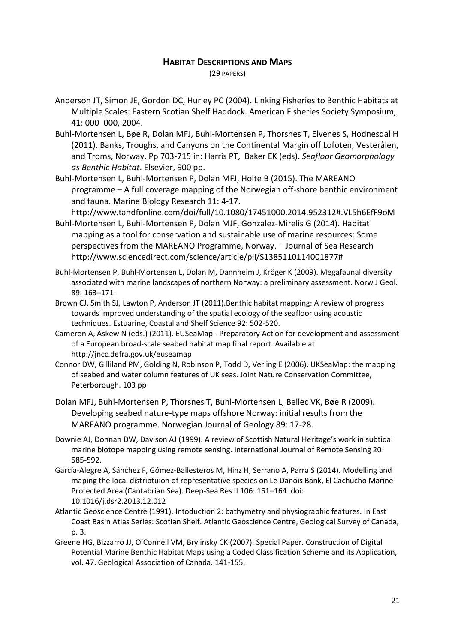# **HABITAT DESCRIPTIONS AND MAPS**

(29 PAPERS)

- Anderson JT, Simon JE, Gordon DC, Hurley PC (2004). Linking Fisheries to Benthic Habitats at Multiple Scales: Eastern Scotian Shelf Haddock. American Fisheries Society Symposium, 41: 000–000, 2004.
- Buhl-Mortensen L, Bøe R, Dolan MFJ, Buhl-Mortensen P, Thorsnes T, Elvenes S, Hodnesdal H (2011). Banks, Troughs, and Canyons on the Continental Margin off Lofoten, Vesterålen, and Troms, Norway. Pp 703-715 in: Harris PT, Baker EK (eds). *Seafloor Geomorphology as Benthic Habitat*. Elsevier, 900 pp.
- Buhl-Mortensen L, Buhl-Mortensen P, Dolan MFJ, Holte B (2015). The MAREANO programme – A full coverage mapping of the Norwegian off-shore benthic environment and fauna. Marine Biology Research 11: 4-17.

<http://www.tandfonline.com/doi/full/10.1080/17451000.2014.952312#.VL5h6EfF9oM>

- Buhl-Mortensen L, Buhl-Mortensen P, Dolan MJF, Gonzalez-Mirelis G (2014). Habitat mapping as a tool for conservation and sustainable use of marine resources: Some perspectives from the MAREANO Programme, Norway. – Journal of Sea Research [http://www.sciencedirect.com/science/article/pii/S1385110114001877#](http://www.sciencedirect.com/science/article/pii/S1385110114001877)
- Buhl-Mortensen P, Buhl-Mortensen L, Dolan M, Dannheim J, Kröger K (2009). Megafaunal diversity associated with marine landscapes of northern Norway: a preliminary assessment. Norw J Geol. 89: 163–171.
- Brown CJ, Smith SJ, Lawton P, Anderson JT (2011).Benthic habitat mapping: A review of progress towards improved understanding of the spatial ecology of the seafloor using acoustic techniques. Estuarine, Coastal and Shelf Science 92: 502-520.
- Cameron A, Askew N (eds.) (2011). EUSeaMap Preparatory Action for development and assessment of a European broad-scale seabed habitat map final report. Available at http://jncc.defra.gov.uk/euseamap
- Connor DW, Gilliland PM, Golding N, Robinson P, Todd D, Verling E (2006). UKSeaMap: the mapping of seabed and water column features of UK seas. Joint Nature Conservation Committee, Peterborough. 103 pp
- Dolan MFJ, Buhl-Mortensen P, Thorsnes T, Buhl-Mortensen L, Bellec VK, Bøe R (2009). Developing seabed nature-type maps offshore Norway: initial results from the MAREANO programme. Norwegian Journal of Geology 89: 17-28.
- Downie AJ, Donnan DW, Davison AJ (1999). A review of Scottish Natural Heritage's work in subtidal marine biotope mapping using remote sensing. International Journal of Remote Sensing 20: 585-592.
- García-Alegre A, Sánchez F, Gómez-Ballesteros M, Hinz H, Serrano A, Parra S (2014). Modelling and maping the local distribtuion of representative species on Le Danois Bank, El Cachucho Marine Protected Area (Cantabrian Sea). Deep-Sea Res II 106: 151–164. doi: 10.1016/j.dsr2.2013.12.012
- Atlantic Geoscience Centre (1991). Intoduction 2: bathymetry and physiographic features. In East Coast Basin Atlas Series: Scotian Shelf. Atlantic Geoscience Centre, Geological Survey of Canada, p. 3.
- Greene HG, Bizzarro JJ, O'Connell VM, Brylinsky CK (2007). Special Paper. Construction of Digital Potential Marine Benthic Habitat Maps using a Coded Classification Scheme and its Application, vol. 47. Geological Association of Canada. 141-155.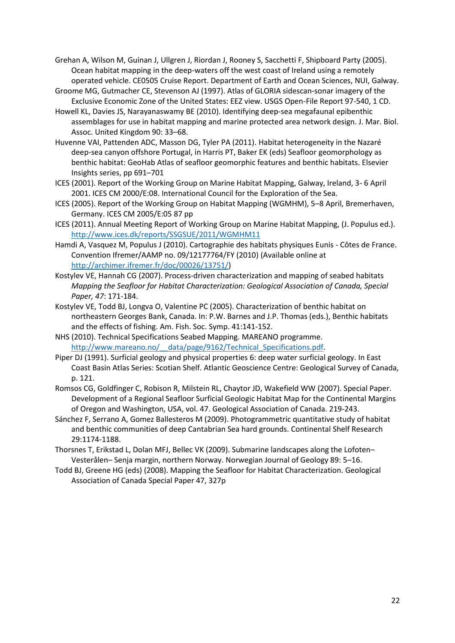Grehan A, Wilson M, Guinan J, Ullgren J, Riordan J, Rooney S, Sacchetti F, Shipboard Party (2005). Ocean habitat mapping in the deep-waters off the west coast of Ireland using a remotely operated vehicle. CE0505 Cruise Report. Department of Earth and Ocean Sciences, NUI, Galway.

- Groome MG, Gutmacher CE, Stevenson AJ (1997). Atlas of GLORIA sidescan-sonar imagery of the Exclusive Economic Zone of the United States: EEZ view. USGS Open-File Report 97-540, 1 CD.
- Howell KL, Davies JS, Narayanaswamy BE (2010). Identifying deep-sea megafaunal epibenthic assemblages for use in habitat mapping and marine protected area network design. J. Mar. Biol. Assoc. United Kingdom 90: 33–68.
- Huvenne VAI, Pattenden ADC, Masson DG, Tyler PA (2011). Habitat heterogeneity in the Nazaré deep-sea canyon offshore Portugal, in Harris PT, Baker EK (eds) Seafloor geomorphology as benthic habitat: GeoHab Atlas of seafloor geomorphic features and benthic habitats. Elsevier Insights series, pp 691–701
- ICES (2001). Report of the Working Group on Marine Habitat Mapping, Galway, Ireland, 3- 6 April 2001. ICES CM 2000/E:08. International Council for the Exploration of the Sea.
- ICES (2005). Report of the Working Group on Habitat Mapping (WGMHM), 5–8 April, Bremerhaven, Germany. ICES CM 2005/E:05 87 pp
- ICES (2011). Annual Meeting Report of Working Group on Marine Habitat Mapping, (J. Populus ed.). <http://www.ices.dk/reports/SSGSUE/2011/WGMHM11>
- Hamdi A, Vasquez M, Populus J (2010). Cartographie des habitats physiques Eunis Côtes de France. Convention Ifremer/AAMP no. 09/12177764/FY (2010) (Available online at [http://archimer.ifremer.fr/doc/00026/13751/\)](http://archimer.ifremer.fr/doc/00026/13751/)
- Kostylev VE, Hannah CG (2007). Process-driven characterization and mapping of seabed habitats *Mapping the Seafloor for Habitat Characterization: Geological Association of Canada, Special Paper, 47*: 171-184.
- Kostylev VE, Todd BJ, Longva O, Valentine PC (2005). Characterization of benthic habitat on northeastern Georges Bank, Canada. In: P.W. Barnes and J.P. Thomas (eds.), Benthic habitats and the effects of fishing. Am. Fish. Soc. Symp. 41:141-152.
- NHS (2010). Technical Specifications Seabed Mapping. MAREANO programme. http://www.mareano.no/ data/page/9162/Technical Specifications.pdf.
- Piper DJ (1991). Surficial geology and physical properties 6: deep water surficial geology. In East Coast Basin Atlas Series: Scotian Shelf. Atlantic Geoscience Centre: Geological Survey of Canada, p. 121.
- Romsos CG, Goldfinger C, Robison R, Milstein RL, Chaytor JD, Wakefield WW (2007). Special Paper. Development of a Regional Seafloor Surficial Geologic Habitat Map for the Continental Margins of Oregon and Washington, USA, vol. 47. Geological Association of Canada. 219-243.
- Sánchez F, Serrano A, Gomez Ballesteros M (2009). Photogrammetric quantitative study of habitat and benthic communities of deep Cantabrian Sea hard grounds. Continental Shelf Research 29:1174-1188.
- Thorsnes T, Erikstad L, Dolan MFJ, Bellec VK (2009). Submarine landscapes along the Lofoten– Vesterålen– Senja margin, northern Norway. Norwegian Journal of Geology 89: 5–16.
- Todd BJ, Greene HG (eds) (2008). Mapping the Seafloor for Habitat Characterization. Geological Association of Canada Special Paper 47, 327p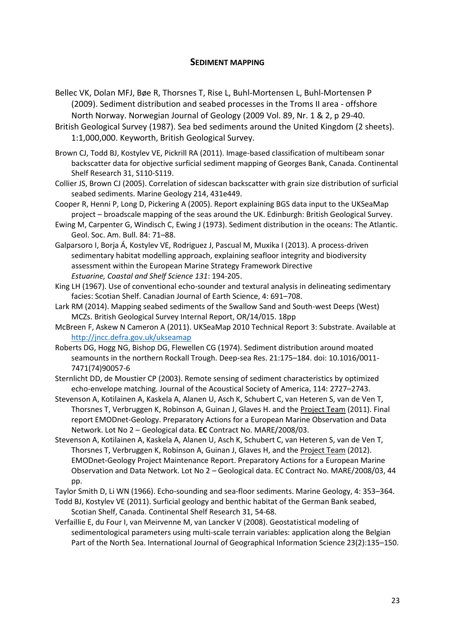# **SEDIMENT MAPPING**

- Bellec VK, Dolan MFJ, Bøe R, Thorsnes T, Rise L, Buhl-Mortensen L, Buhl-Mortensen P (2009). Sediment distribution and seabed processes in the Troms II area - offshore North Norway. Norwegian Journal of Geology (2009 Vol. 89, Nr. 1 & 2, p 29-40.
- British Geological Survey (1987). Sea bed sediments around the United Kingdom (2 sheets). 1:1,000,000. Keyworth, British Geological Survey.
- Brown CJ, Todd BJ, Kostylev VE, Pickrill RA (2011). Image-based classification of multibeam sonar backscatter data for objective surficial sediment mapping of Georges Bank, Canada. Continental Shelf Research 31, S110-S119.
- Collier JS, Brown CJ (2005). Correlation of sidescan backscatter with grain size distribution of surficial seabed sediments. Marine Geology 214, 431e449.
- Cooper R, Henni P, Long D, Pickering A (2005). Report explaining BGS data input to the UKSeaMap project – broadscale mapping of the seas around the UK. Edinburgh: British Geological Survey.
- Ewing M, Carpenter G, Windisch C, Ewing J (1973). Sediment distribution in the oceans: The Atlantic. Geol. Soc. Am. Bull. 84: 71–88.
- Galparsoro I, Borja Á, Kostylev VE, Rodriguez J, Pascual M, Muxika I (2013). A process-driven sedimentary habitat modelling approach, explaining seafloor integrity and biodiversity assessment within the European Marine Strategy Framework Directive *Estuarine, Coastal and Shelf Science 131*: 194-205.
- King LH (1967). Use of conventional echo-sounder and textural analysis in delineating sedimentary facies: Scotian Shelf. Canadian Journal of Earth Science, 4: 691–708.
- Lark RM (2014). Mapping seabed sediments of the Swallow Sand and South-west Deeps (West) MCZs. British Geological Survey Internal Report, OR/14/015. 18pp
- McBreen F, Askew N Cameron A (2011). UKSeaMap 2010 Technical Report 3: Substrate. Available at <http://jncc.defra.gov.uk/ukseamap>
- Roberts DG, Hogg NG, Bishop DG, Flewellen CG (1974). Sediment distribution around moated seamounts in the northern Rockall Trough. Deep-sea Res. 21:175–184. doi: 10.1016/0011- 7471(74)90057-6
- Sternlicht DD, de Moustier CP (2003). Remote sensing of sediment characteristics by optimized echo-envelope matching. Journal of the Acoustical Society of America, 114: 2727–2743.
- Stevenson A, Kotilainen A, Kaskela A, Alanen U, Asch K, Schubert C, van Heteren S, van de Ven T, Thorsnes T, Verbruggen K, Robinson A, Guinan J, Glaves H. and the Project Team (2011). Final report EMODnet-Geology. Preparatory Actions for a European Marine Observation and Data Network. Lot No 2 – Geological data. **EC** Contract No. MARE/2008/03.
- Stevenson A, Kotilainen A, Kaskela A, Alanen U, Asch K, Schubert C, van Heteren S, van de Ven T, Thorsnes T, Verbruggen K, Robinson A, Guinan J, Glaves H, and the Project Team (2012). EMODnet-Geology Project Maintenance Report. Preparatory Actions for a European Marine Observation and Data Network. Lot No 2 – Geological data. EC Contract No. MARE/2008/03, 44 pp.
- Taylor Smith D, Li WN (1966). Echo-sounding and sea-floor sediments. Marine Geology, 4: 353–364.
- Todd BJ, Kostylev VE (2011). Surficial geology and benthic habitat of the German Bank seabed, Scotian Shelf, Canada. Continental Shelf Research 31, 54-68.
- Verfaillie E, du Four I, van Meirvenne M, van Lancker V (2008). Geostatistical modeling of sedimentological parameters using multi-scale terrain variables: application along the Belgian Part of the North Sea. International Journal of Geographical Information Science 23(2):135–150.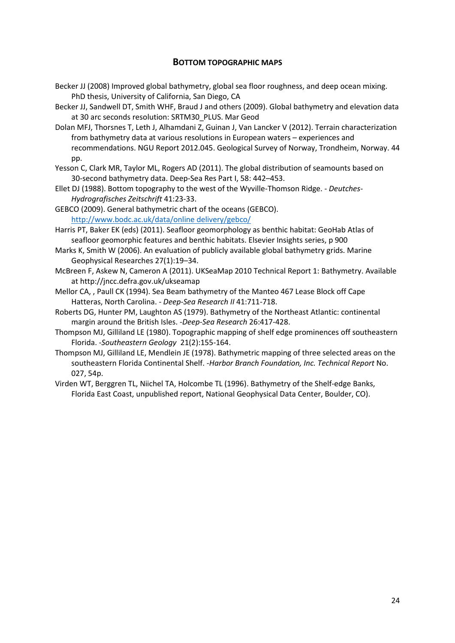# **BOTTOM TOPOGRAPHIC MAPS**

- Becker JJ (2008) Improved global bathymetry, global sea floor roughness, and deep ocean mixing. PhD thesis, University of California, San Diego, CA
- Becker JJ, Sandwell DT, Smith WHF, Braud J and others (2009). Global bathymetry and elevation data at 30 arc seconds resolution: SRTM30\_PLUS. Mar Geod
- Dolan MFJ, Thorsnes T, Leth J, Alhamdani Z, Guinan J, Van Lancker V (2012). Terrain characterization from bathymetry data at various resolutions in European waters – experiences and recommendations. NGU Report 2012.045. Geological Survey of Norway, Trondheim, Norway. 44 pp.
- Yesson C, Clark MR, Taylor ML, Rogers AD (2011). The global distribution of seamounts based on 30-second bathymetry data. Deep-Sea Res Part I, 58: 442–453.
- Ellet DJ (1988). Bottom topography to the west of the Wyville-Thomson Ridge. *Deutches-Hydrografisches Zeitschrift* 41:23-33.
- GEBCO (2009). General bathymetric chart of the oceans (GEBCO). [http://www.bodc.ac.uk/data/online delivery/gebco/](http://www.bodc.ac.uk/data/online%20delivery/gebco/)
- Harris PT, Baker EK (eds) (2011). Seafloor geomorphology as benthic habitat: GeoHab Atlas of seafloor geomorphic features and benthic habitats. Elsevier Insights series, p 900
- Marks K, Smith W (2006). An evaluation of publicly available global bathymetry grids. Marine Geophysical Researches 27(1):19–34.
- McBreen F, Askew N, Cameron A (2011). UKSeaMap 2010 Technical Report 1: Bathymetry. Available at http://jncc.defra.gov.uk/ukseamap
- Mellor CA, , Paull CK (1994). Sea Beam bathymetry of the Manteo 467 Lease Block off Cape Hatteras, North Carolina. - *Deep-Sea Research II* 41:711-718.
- Roberts DG, Hunter PM, Laughton AS (1979). Bathymetry of the Northeast Atlantic: continental margin around the British Isles. -*Deep-Sea Research* 26:417-428.
- Thompson MJ, Gilliland LE (1980). Topographic mapping of shelf edge prominences off southeastern Florida. -*Southeastern Geology* 21(2):155-164.
- Thompson MJ, Gilliland LE, Mendlein JE (1978). Bathymetric mapping of three selected areas on the southeastern Florida Continental Shelf. -*Harbor Branch Foundation, Inc. Technical Report* No. 027, 54p.
- Virden WT, Berggren TL, Niichel TA, Holcombe TL (1996). Bathymetry of the Shelf-edge Banks, Florida East Coast, unpublished report, National Geophysical Data Center, Boulder, CO).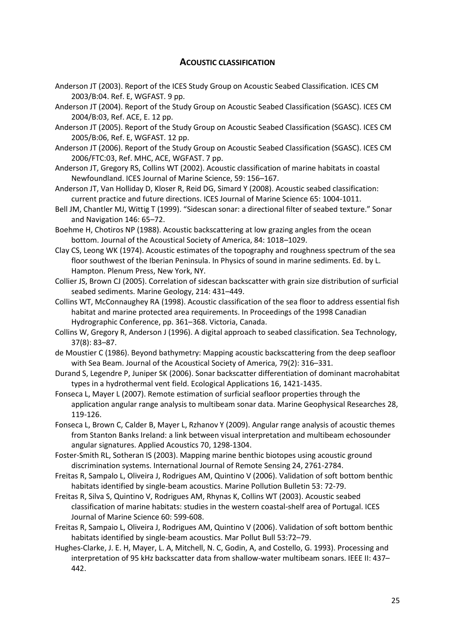# **ACOUSTIC CLASSIFICATION**

- Anderson JT (2003). Report of the ICES Study Group on Acoustic Seabed Classification. ICES CM 2003/B:04. Ref. E, WGFAST. 9 pp.
- Anderson JT (2004). Report of the Study Group on Acoustic Seabed Classification (SGASC). ICES CM 2004/B:03, Ref. ACE, E. 12 pp.
- Anderson JT (2005). Report of the Study Group on Acoustic Seabed Classification (SGASC). ICES CM 2005/B:06, Ref. E, WGFAST. 12 pp.
- Anderson JT (2006). Report of the Study Group on Acoustic Seabed Classification (SGASC). ICES CM 2006/FTC:03, Ref. MHC, ACE, WGFAST. 7 pp.
- Anderson JT, Gregory RS, Collins WT (2002). Acoustic classification of marine habitats in coastal Newfoundland. ICES Journal of Marine Science, 59: 156–167.
- Anderson JT, Van Holliday D, Kloser R, Reid DG, Simard Y (2008). Acoustic seabed classification: current practice and future directions. ICES Journal of Marine Science 65: 1004-1011.
- Bell JM, Chantler MJ, Wittig T (1999). "Sidescan sonar: a directional filter of seabed texture." Sonar and Navigation 146: 65–72.
- Boehme H, Chotiros NP (1988). Acoustic backscattering at low grazing angles from the ocean bottom. Journal of the Acoustical Society of America, 84: 1018–1029.
- Clay CS, Leong WK (1974). Acoustic estimates of the topography and roughness spectrum of the sea floor southwest of the Iberian Peninsula. In Physics of sound in marine sediments. Ed. by L. Hampton. Plenum Press, New York, NY.
- Collier JS, Brown CJ (2005). Correlation of sidescan backscatter with grain size distribution of surficial seabed sediments. Marine Geology, 214: 431–449.
- Collins WT, McConnaughey RA (1998). Acoustic classification of the sea floor to address essential fish habitat and marine protected area requirements. In Proceedings of the 1998 Canadian Hydrographic Conference, pp. 361–368. Victoria, Canada.
- Collins W, Gregory R, Anderson J (1996). A digital approach to seabed classification. Sea Technology, 37(8): 83–87.
- de Moustier C (1986). Beyond bathymetry: Mapping acoustic backscattering from the deep seafloor with Sea Beam. Journal of the Acoustical Society of America, 79(2): 316–331.
- Durand S, Legendre P, Juniper SK (2006). Sonar backscatter differentiation of dominant macrohabitat types in a hydrothermal vent field. Ecological Applications 16, 1421-1435.
- Fonseca L, Mayer L (2007). Remote estimation of surficial seafloor properties through the application angular range analysis to multibeam sonar data. Marine Geophysical Researches 28, 119-126.
- Fonseca L, Brown C, Calder B, Mayer L, Rzhanov Y (2009). Angular range analysis of acoustic themes from Stanton Banks Ireland: a link between visual interpretation and multibeam echosounder angular signatures. Applied Acoustics 70, 1298-1304.
- Foster-Smith RL, Sotheran IS (2003). Mapping marine benthic biotopes using acoustic ground discrimination systems. International Journal of Remote Sensing 24, 2761-2784.
- Freitas R, Sampalo L, Oliveira J, Rodrigues AM, Quintino V (2006). Validation of soft bottom benthic habitats identified by single-beam acoustics. Marine Pollution Bulletin 53: 72-79.
- Freitas R, Silva S, Quintino V, Rodrigues AM, Rhynas K, Collins WT (2003). Acoustic seabed classification of marine habitats: studies in the western coastal-shelf area of Portugal. ICES Journal of Marine Science 60: 599-608.
- Freitas R, Sampaio L, Oliveira J, Rodrigues AM, Quintino V (2006). Validation of soft bottom benthic habitats identified by single-beam acoustics. Mar Pollut Bull 53:72–79.
- Hughes-Clarke, J. E. H, Mayer, L. A, Mitchell, N. C, Godin, A, and Costello, G. 1993). Processing and interpretation of 95 kHz backscatter data from shallow-water multibeam sonars. IEEE II: 437– 442.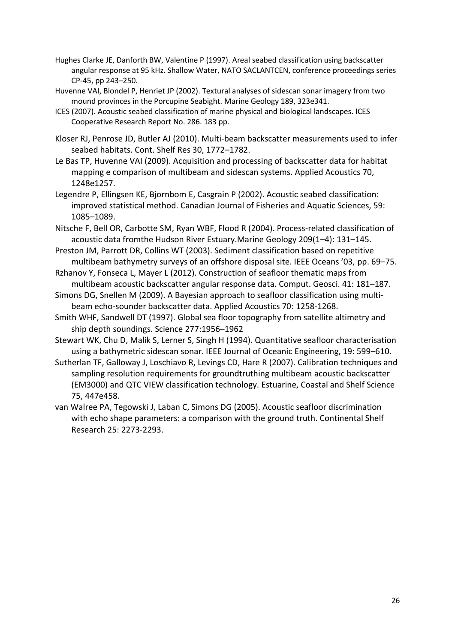- Hughes Clarke JE, Danforth BW, Valentine P (1997). Areal seabed classification using backscatter angular response at 95 kHz. Shallow Water, NATO SACLANTCEN, conference proceedings series CP-45, pp 243–250.
- Huvenne VAI, Blondel P, Henriet JP (2002). Textural analyses of sidescan sonar imagery from two mound provinces in the Porcupine Seabight. Marine Geology 189, 323e341.
- ICES (2007). Acoustic seabed classification of marine physical and biological landscapes. ICES Cooperative Research Report No. 286. 183 pp.
- Kloser RJ, Penrose JD, Butler AJ (2010). Multi-beam backscatter measurements used to infer seabed habitats. Cont. Shelf Res 30, 1772–1782.
- Le Bas TP, Huvenne VAI (2009). Acquisition and processing of backscatter data for habitat mapping e comparison of multibeam and sidescan systems. Applied Acoustics 70, 1248e1257.
- Legendre P, Ellingsen KE, Bjornbom E, Casgrain P (2002). Acoustic seabed classification: improved statistical method. Canadian Journal of Fisheries and Aquatic Sciences, 59: 1085–1089.
- Nitsche F, Bell OR, Carbotte SM, Ryan WBF, Flood R (2004). Process-related classification of acoustic data fromthe Hudson River Estuary.Marine Geology 209(1–4): 131–145.
- Preston JM, Parrott DR, Collins WT (2003). Sediment classification based on repetitive multibeam bathymetry surveys of an offshore disposal site. IEEE Oceans '03, pp. 69–75.
- Rzhanov Y, Fonseca L, Mayer L (2012). Construction of seafloor thematic maps from multibeam acoustic backscatter angular response data. Comput. Geosci. 41: 181–187.
- Simons DG, Snellen M (2009). A Bayesian approach to seafloor classification using multibeam echo-sounder backscatter data. Applied Acoustics 70: 1258-1268.
- Smith WHF, Sandwell DT (1997). Global sea floor topography from satellite altimetry and ship depth soundings. Science 277:1956–1962
- Stewart WK, Chu D, Malik S, Lerner S, Singh H (1994). Quantitative seafloor characterisation using a bathymetric sidescan sonar. IEEE Journal of Oceanic Engineering, 19: 599–610.
- Sutherlan TF, Galloway J, Loschiavo R, Levings CD, Hare R (2007). Calibration techniques and sampling resolution requirements for groundtruthing multibeam acoustic backscatter (EM3000) and QTC VIEW classification technology. Estuarine, Coastal and Shelf Science 75, 447e458.
- van Walree PA, Tegowski J, Laban C, Simons DG (2005). Acoustic seafloor discrimination with echo shape parameters: a comparison with the ground truth. Continental Shelf Research 25: 2273-2293.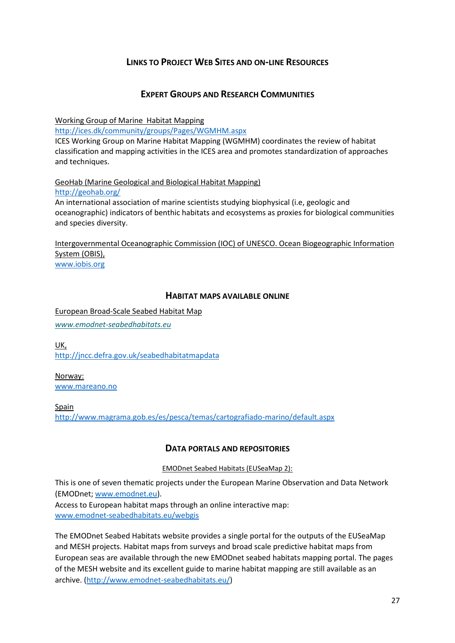# **LINKS TO PROJECT WEB SITES AND ON-LINE RESOURCES**

# **EXPERT GROUPS AND RESEARCH COMMUNITIES**

Working Group of Marine Habitat Mapping

<http://ices.dk/community/groups/Pages/WGMHM.aspx>

ICES Working Group on Marine Habitat Mapping (WGMHM) coordinates the review of habitat classification and mapping activities in the ICES area and promotes standardization of approaches and techniques.

GeoHab (Marine Geological and Biological Habitat Mapping) <http://geohab.org/> An international association of marine scientists studying biophysical (i.e, geologic and

oceanographic) indicators of benthic habitats and ecosystems as proxies for biological communities and species diversity.

Intergovernmental Oceanographic Commission (IOC) of UNESCO. Ocean Biogeographic Information System (OBIS), [www.iobis.org](http://www.iobis.org/)

# **HABITAT MAPS AVAILABLE ONLINE**

European Broad-Scale Seabed Habitat Map

*[www.emodnet-seabedhabitats.eu](http://www.emodnet-seabedhabitats.eu/)*

UK, <http://jncc.defra.gov.uk/seabedhabitatmapdata>

Norway: [www.mareano.no](http://www.mareano.no/)

Spain <http://www.magrama.gob.es/es/pesca/temas/cartografiado-marino/default.aspx>

# **DATA PORTALS AND REPOSITORIES**

EMODnet Seabed Habitats (EUSeaMap 2):

This is one of seven thematic projects under the European Marine Observation and Data Network (EMODnet[; www.emodnet.eu\)](../../../../Helen%20Ellwood/Downloads/www.emodnet.eu).

Access to European habitat maps through an online interactive map: [www.emodnet-seabedhabitats.eu/webgis](http://www.emodnet-seabedhabitats.eu/webgis)

The EMODnet Seabed Habitats website provides a single portal for the outputs of the EUSeaMap and MESH projects. Habitat maps from surveys and broad scale predictive habitat maps from European seas are available through the new EMODnet seabed habitats mapping portal. The pages of the MESH website and its excellent guide to marine habitat mapping are still available as an archive. [\(http://www.emodnet-seabedhabitats.eu/\)](http://www.emodnet-seabedhabitats.eu/)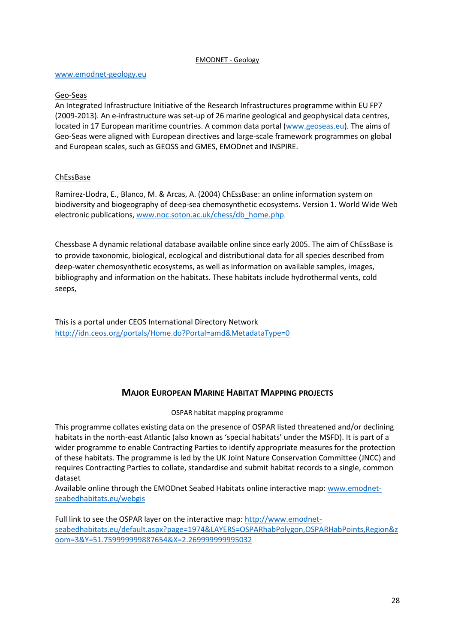#### EMODNET - Geology

#### [www.emodnet-geology.eu](http://www.emodnet-geology.eu/)

## Geo-Seas

An Integrated Infrastructure Initiative of the Research Infrastructures programme within EU FP7 (2009-2013). An e-infrastructure was set-up of 26 marine geological and geophysical data centres, located in 17 European maritime countries. A common data portal [\(www.geoseas.eu\)](http://www.geoseas.eu/). The aims of Geo-Seas were aligned with European directives and large-scale framework programmes on global and European scales, such as GEOSS and GMES, EMODnet and INSPIRE.

## ChEssBase

Ramirez-Llodra, E., Blanco, M. & Arcas, A. (2004) ChEssBase: an online information system on biodiversity and biogeography of deep-sea chemosynthetic ecosystems. Version 1. World Wide Web electronic publications[, www.noc.soton.ac.uk/chess/db\\_home.php](http://www.noc.soton.ac.uk/chess/db_home.php).

Chessbase A dynamic relational database available online since early 2005. The aim of ChEssBase is to provide taxonomic, biological, ecological and distributional data for all species described from deep-water chemosynthetic ecosystems, as well as information on available samples, images, bibliography and information on the habitats. These habitats include hydrothermal vents, cold seeps,

This is a portal under CEOS International Directory Network <http://idn.ceos.org/portals/Home.do?Portal=amd&MetadataType=0>

# **MAJOR EUROPEAN MARINE HABITAT MAPPING PROJECTS**

## OSPAR habitat mapping programme

This programme collates existing data on the presence of OSPAR listed threatened and/or declining habitats in the north-east Atlantic (also known as 'special habitats' under the MSFD). It is part of a wider programme to enable Contracting Parties to identify appropriate measures for the protection of these habitats. The programme is led by the UK Joint Nature Conservation Committee (JNCC) and requires Contracting Parties to collate, standardise and submit habitat records to a single, common dataset

Available online through the EMODnet Seabed Habitats online interactive map: [www.emodnet](http://www.emodnet-seabedhabitats.eu/webgis)[seabedhabitats.eu/webgis](http://www.emodnet-seabedhabitats.eu/webgis)

Full link to see the OSPAR layer on the interactive map: [http://www.emodnet](http://www.emodnet-seabedhabitats.eu/default.aspx?page=1974&LAYERS=OSPARhabPolygon,OSPARHabPoints,Region&zoom=3&Y=51.759999999887654&X=2.269999999995032)[seabedhabitats.eu/default.aspx?page=1974&LAYERS=OSPARhabPolygon,OSPARHabPoints,Region&z](http://www.emodnet-seabedhabitats.eu/default.aspx?page=1974&LAYERS=OSPARhabPolygon,OSPARHabPoints,Region&zoom=3&Y=51.759999999887654&X=2.269999999995032) [oom=3&Y=51.759999999887654&X=2.269999999995032](http://www.emodnet-seabedhabitats.eu/default.aspx?page=1974&LAYERS=OSPARhabPolygon,OSPARHabPoints,Region&zoom=3&Y=51.759999999887654&X=2.269999999995032)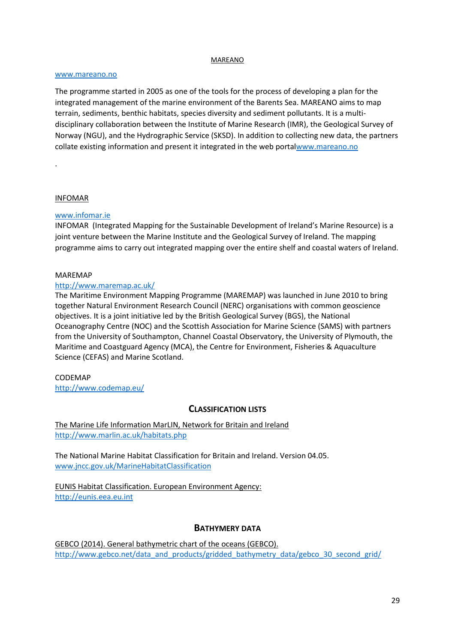#### MAREANO

## [www.mareano.no](http://www.mareano.no/)

The programme started in 2005 as one of the tools for the process of developing a plan for the integrated management of the marine environment of the Barents Sea. MAREANO aims to map terrain, sediments, benthic habitats, species diversity and sediment pollutants. It is a multidisciplinary collaboration between the Institute of Marine Research (IMR), the Geological Survey of Norway (NGU), and the Hydrographic Service (SKSD). In addition to collecting new data, the partners collate existing information and present it integrated in the web port[alwww.mareano.no](http://www.mareano.no/)

## INFOMAR

.

## [www.infomar.ie](http://www.infomar.ie/)

INFOMAR (Integrated Mapping for the Sustainable Development of Ireland's Marine Resource) is a joint venture between the Marine Institute and the Geological Survey of Ireland. The mapping programme aims to carry out integrated mapping over the entire shelf and coastal waters of Ireland.

## MAREMAP

## <http://www.maremap.ac.uk/>

The Maritime Environment Mapping Programme (MAREMAP) was launched in June 2010 to bring together Natural Environment Research Council (NERC) organisations with common geoscience objectives. It is a joint initiative led by the British Geological Survey (BGS), the National Oceanography Centre (NOC) and the Scottish Association for Marine Science (SAMS) with partners from the University of Southampton, Channel Coastal Observatory, the University of Plymouth, the Maritime and Coastguard Agency (MCA), the Centre for Environment, Fisheries & Aquaculture Science (CEFAS) and Marine Scotland.

# CODEMAP

<http://www.codemap.eu/>

# **CLASSIFICATION LISTS**

The Marine Life Information MarLIN, Network for Britain and Ireland <http://www.marlin.ac.uk/habitats.php>

The National Marine Habitat Classification for Britain and Ireland. Version 04.05. [www.jncc.gov.uk/MarineHabitatClassification](http://www.jncc.gov.uk/MarineHabitatClassification)

## EUNIS Habitat Classification. European Environment Agency: [http://eunis.eea.eu.int](http://eunis.eea.eu.int/)

# **BATHYMERY DATA**

GEBCO (2014). General bathymetric chart of the oceans (GEBCO). [http://www.gebco.net/data\\_and\\_products/gridded\\_bathymetry\\_data/gebco\\_30\\_second\\_grid/](http://www.gebco.net/data_and_products/gridded_bathymetry_data/gebco_30_second_grid/)